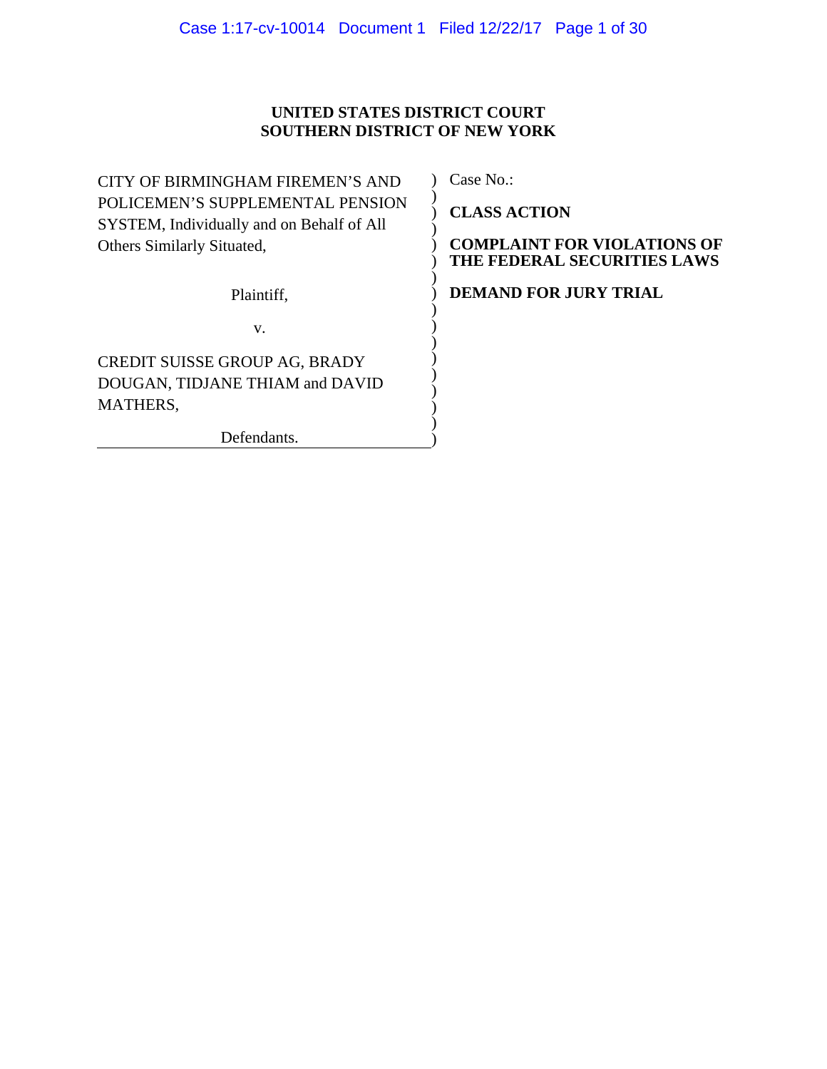# **UNITED STATES DISTRICT COURT SOUTHERN DISTRICT OF NEW YORK**

| CITY OF BIRMINGHAM FIREMEN'S AND          |  |  |  |  |
|-------------------------------------------|--|--|--|--|
| POLICEMEN'S SUPPLEMENTAL PENSION          |  |  |  |  |
| SYSTEM, Individually and on Behalf of All |  |  |  |  |
| <b>Others Similarly Situated,</b>         |  |  |  |  |
|                                           |  |  |  |  |
| Plaintiff,                                |  |  |  |  |
| V.                                        |  |  |  |  |
| CREDIT SUISSE GROUP AG, BRADY             |  |  |  |  |
| DOUGAN, TIDJANE THIAM and DAVID           |  |  |  |  |
| MATHERS,                                  |  |  |  |  |
| Defendants.                               |  |  |  |  |

Case No.:

**CLASS ACTION** 

**COMPLAINT FOR VIOLATIONS OF THE FEDERAL SECURITIES LAWS** 

**DEMAND FOR JURY TRIAL**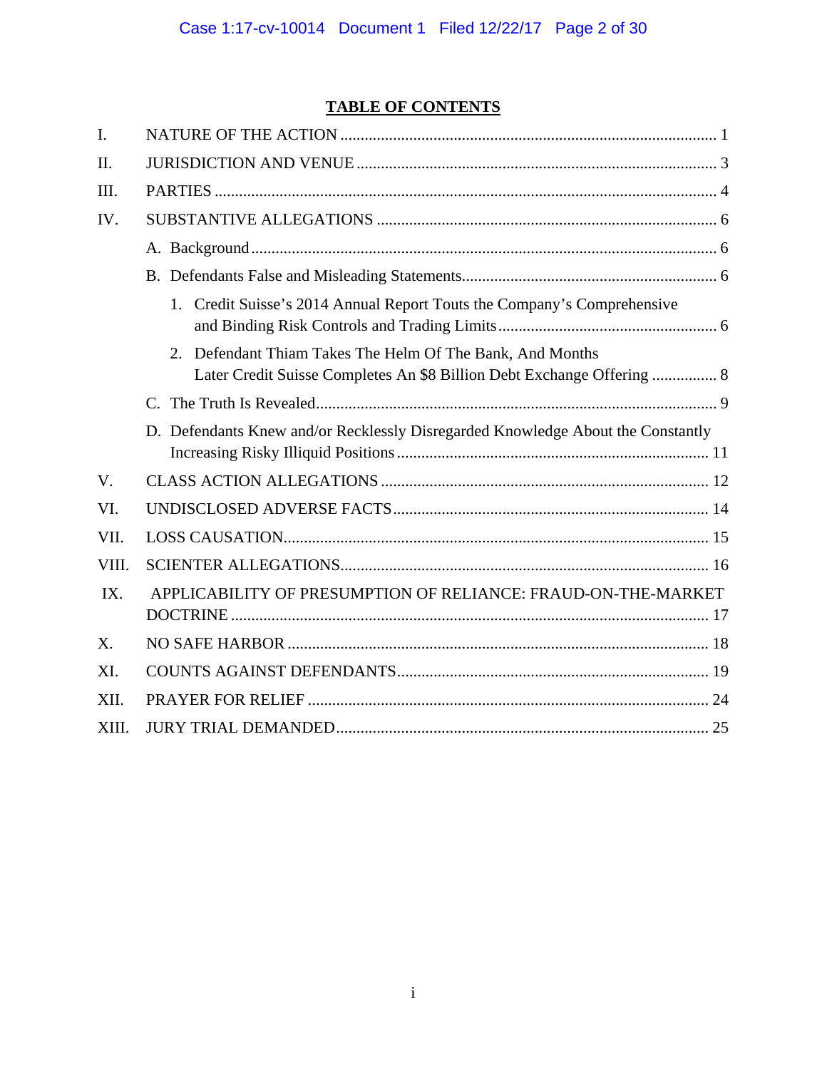# **TABLE OF CONTENTS**

| I.          |                                                                                                                                       |  |  |  |
|-------------|---------------------------------------------------------------------------------------------------------------------------------------|--|--|--|
| II.         |                                                                                                                                       |  |  |  |
| III.        |                                                                                                                                       |  |  |  |
| IV.         |                                                                                                                                       |  |  |  |
|             |                                                                                                                                       |  |  |  |
|             |                                                                                                                                       |  |  |  |
|             | 1. Credit Suisse's 2014 Annual Report Touts the Company's Comprehensive                                                               |  |  |  |
|             | Defendant Thiam Takes The Helm Of The Bank, And Months<br>2<br>Later Credit Suisse Completes An \$8 Billion Debt Exchange Offering  8 |  |  |  |
|             |                                                                                                                                       |  |  |  |
|             | D. Defendants Knew and/or Recklessly Disregarded Knowledge About the Constantly                                                       |  |  |  |
| $V_{\cdot}$ |                                                                                                                                       |  |  |  |
| VI.         |                                                                                                                                       |  |  |  |
| VII.        |                                                                                                                                       |  |  |  |
| VIII.       |                                                                                                                                       |  |  |  |
| IX.         | APPLICABILITY OF PRESUMPTION OF RELIANCE: FRAUD-ON-THE-MARKET                                                                         |  |  |  |
| X.          |                                                                                                                                       |  |  |  |
| XI.         |                                                                                                                                       |  |  |  |
| XII.        |                                                                                                                                       |  |  |  |
| XIII.       |                                                                                                                                       |  |  |  |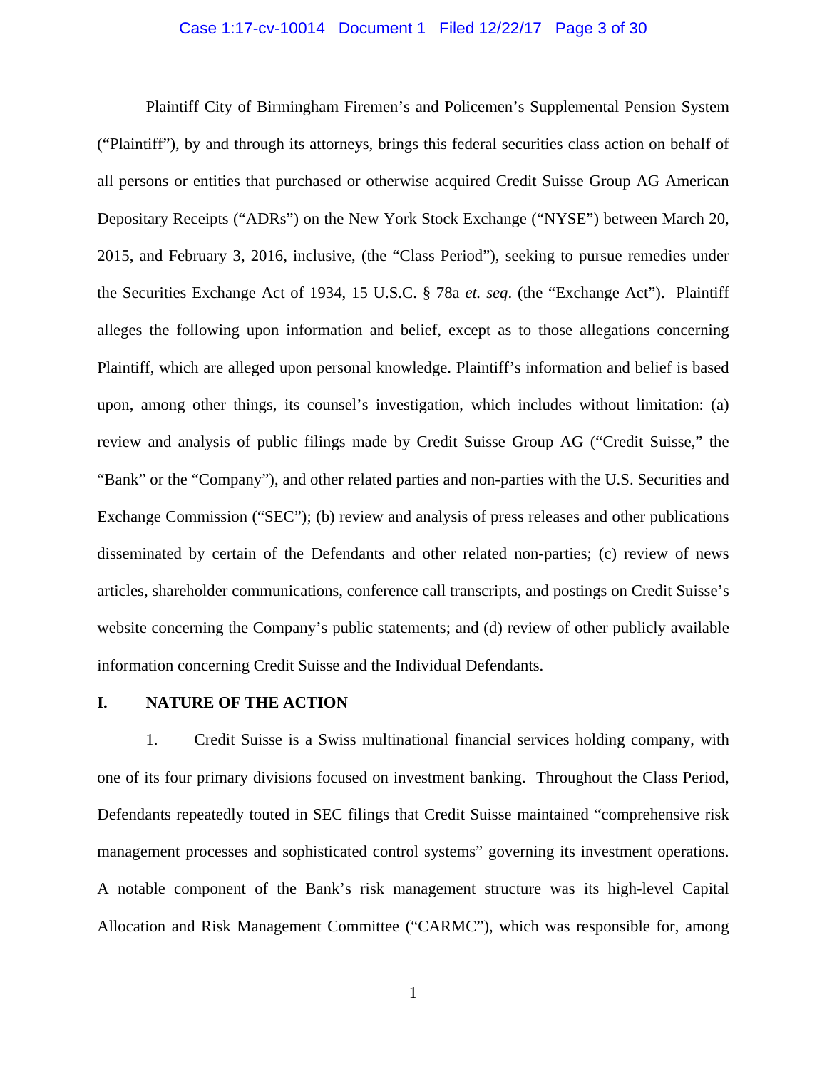#### Case 1:17-cv-10014 Document 1 Filed 12/22/17 Page 3 of 30

Plaintiff City of Birmingham Firemen's and Policemen's Supplemental Pension System ("Plaintiff"), by and through its attorneys, brings this federal securities class action on behalf of all persons or entities that purchased or otherwise acquired Credit Suisse Group AG American Depositary Receipts ("ADRs") on the New York Stock Exchange ("NYSE") between March 20, 2015, and February 3, 2016, inclusive, (the "Class Period"), seeking to pursue remedies under the Securities Exchange Act of 1934, 15 U.S.C. § 78a *et. seq*. (the "Exchange Act"). Plaintiff alleges the following upon information and belief, except as to those allegations concerning Plaintiff, which are alleged upon personal knowledge. Plaintiff's information and belief is based upon, among other things, its counsel's investigation, which includes without limitation: (a) review and analysis of public filings made by Credit Suisse Group AG ("Credit Suisse," the "Bank" or the "Company"), and other related parties and non-parties with the U.S. Securities and Exchange Commission ("SEC"); (b) review and analysis of press releases and other publications disseminated by certain of the Defendants and other related non-parties; (c) review of news articles, shareholder communications, conference call transcripts, and postings on Credit Suisse's website concerning the Company's public statements; and (d) review of other publicly available information concerning Credit Suisse and the Individual Defendants.

#### **I. NATURE OF THE ACTION**

1. Credit Suisse is a Swiss multinational financial services holding company, with one of its four primary divisions focused on investment banking. Throughout the Class Period, Defendants repeatedly touted in SEC filings that Credit Suisse maintained "comprehensive risk management processes and sophisticated control systems" governing its investment operations. A notable component of the Bank's risk management structure was its high-level Capital Allocation and Risk Management Committee ("CARMC"), which was responsible for, among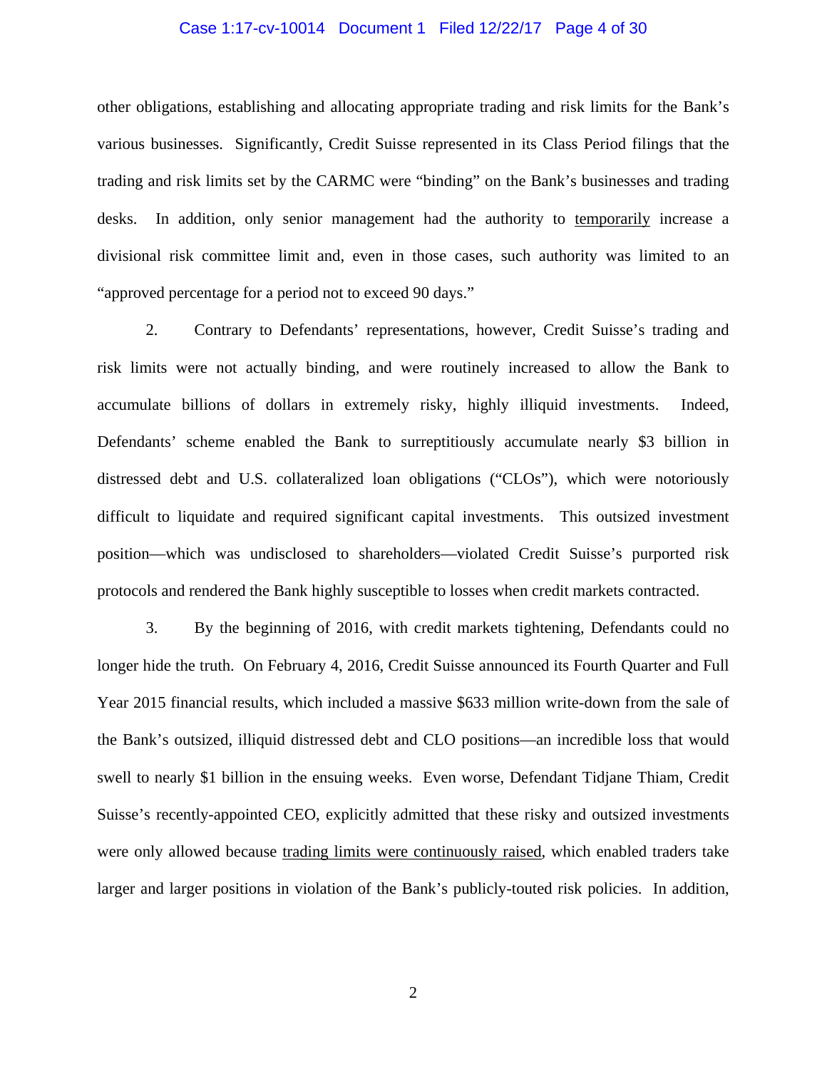#### Case 1:17-cv-10014 Document 1 Filed 12/22/17 Page 4 of 30

other obligations, establishing and allocating appropriate trading and risk limits for the Bank's various businesses. Significantly, Credit Suisse represented in its Class Period filings that the trading and risk limits set by the CARMC were "binding" on the Bank's businesses and trading desks. In addition, only senior management had the authority to temporarily increase a divisional risk committee limit and, even in those cases, such authority was limited to an "approved percentage for a period not to exceed 90 days."

2. Contrary to Defendants' representations, however, Credit Suisse's trading and risk limits were not actually binding, and were routinely increased to allow the Bank to accumulate billions of dollars in extremely risky, highly illiquid investments. Indeed, Defendants' scheme enabled the Bank to surreptitiously accumulate nearly \$3 billion in distressed debt and U.S. collateralized loan obligations ("CLOs"), which were notoriously difficult to liquidate and required significant capital investments. This outsized investment position—which was undisclosed to shareholders—violated Credit Suisse's purported risk protocols and rendered the Bank highly susceptible to losses when credit markets contracted.

3. By the beginning of 2016, with credit markets tightening, Defendants could no longer hide the truth. On February 4, 2016, Credit Suisse announced its Fourth Quarter and Full Year 2015 financial results, which included a massive \$633 million write-down from the sale of the Bank's outsized, illiquid distressed debt and CLO positions—an incredible loss that would swell to nearly \$1 billion in the ensuing weeks. Even worse, Defendant Tidjane Thiam, Credit Suisse's recently-appointed CEO, explicitly admitted that these risky and outsized investments were only allowed because trading limits were continuously raised, which enabled traders take larger and larger positions in violation of the Bank's publicly-touted risk policies. In addition,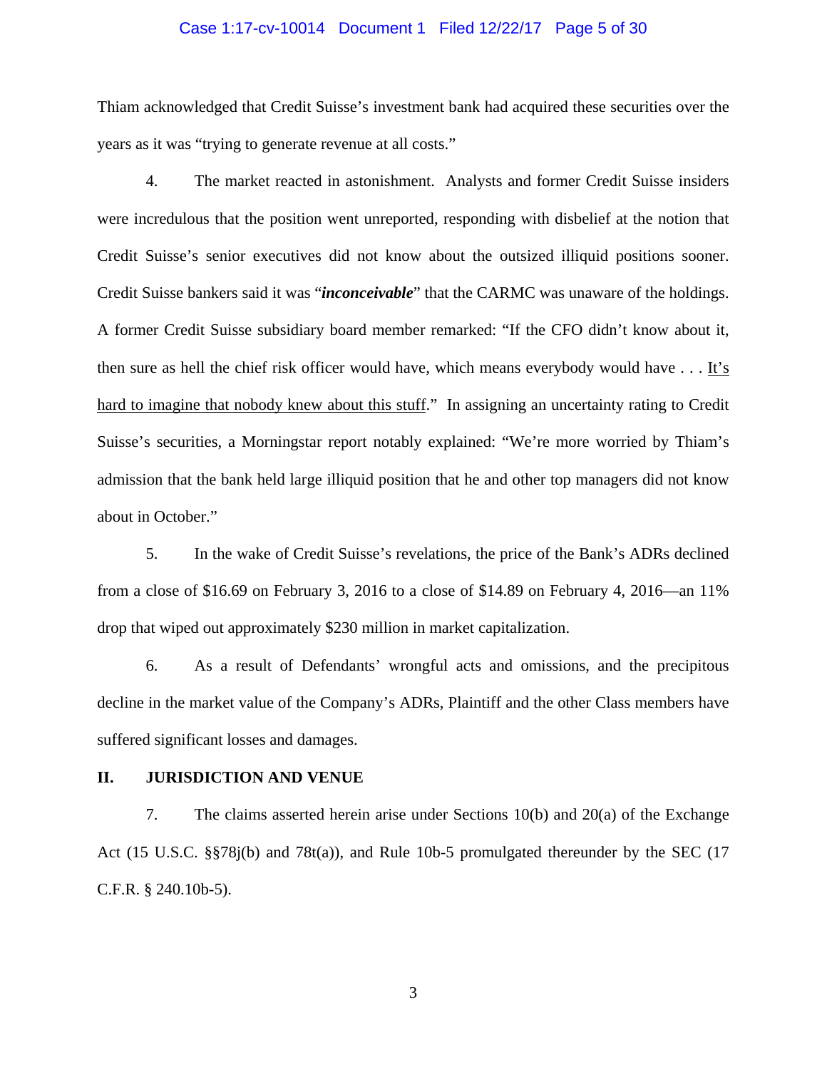#### Case 1:17-cv-10014 Document 1 Filed 12/22/17 Page 5 of 30

Thiam acknowledged that Credit Suisse's investment bank had acquired these securities over the years as it was "trying to generate revenue at all costs."

4. The market reacted in astonishment. Analysts and former Credit Suisse insiders were incredulous that the position went unreported, responding with disbelief at the notion that Credit Suisse's senior executives did not know about the outsized illiquid positions sooner. Credit Suisse bankers said it was "*inconceivable*" that the CARMC was unaware of the holdings. A former Credit Suisse subsidiary board member remarked: "If the CFO didn't know about it, then sure as hell the chief risk officer would have, which means everybody would have . . . It's hard to imagine that nobody knew about this stuff." In assigning an uncertainty rating to Credit Suisse's securities, a Morningstar report notably explained: "We're more worried by Thiam's admission that the bank held large illiquid position that he and other top managers did not know about in October."

5. In the wake of Credit Suisse's revelations, the price of the Bank's ADRs declined from a close of \$16.69 on February 3, 2016 to a close of \$14.89 on February 4, 2016—an 11% drop that wiped out approximately \$230 million in market capitalization.

6. As a result of Defendants' wrongful acts and omissions, and the precipitous decline in the market value of the Company's ADRs, Plaintiff and the other Class members have suffered significant losses and damages.

## **II. JURISDICTION AND VENUE**

7. The claims asserted herein arise under Sections 10(b) and 20(a) of the Exchange Act (15 U.S.C. §§78j(b) and 78t(a)), and Rule 10b-5 promulgated thereunder by the SEC (17 C.F.R. § 240.10b-5).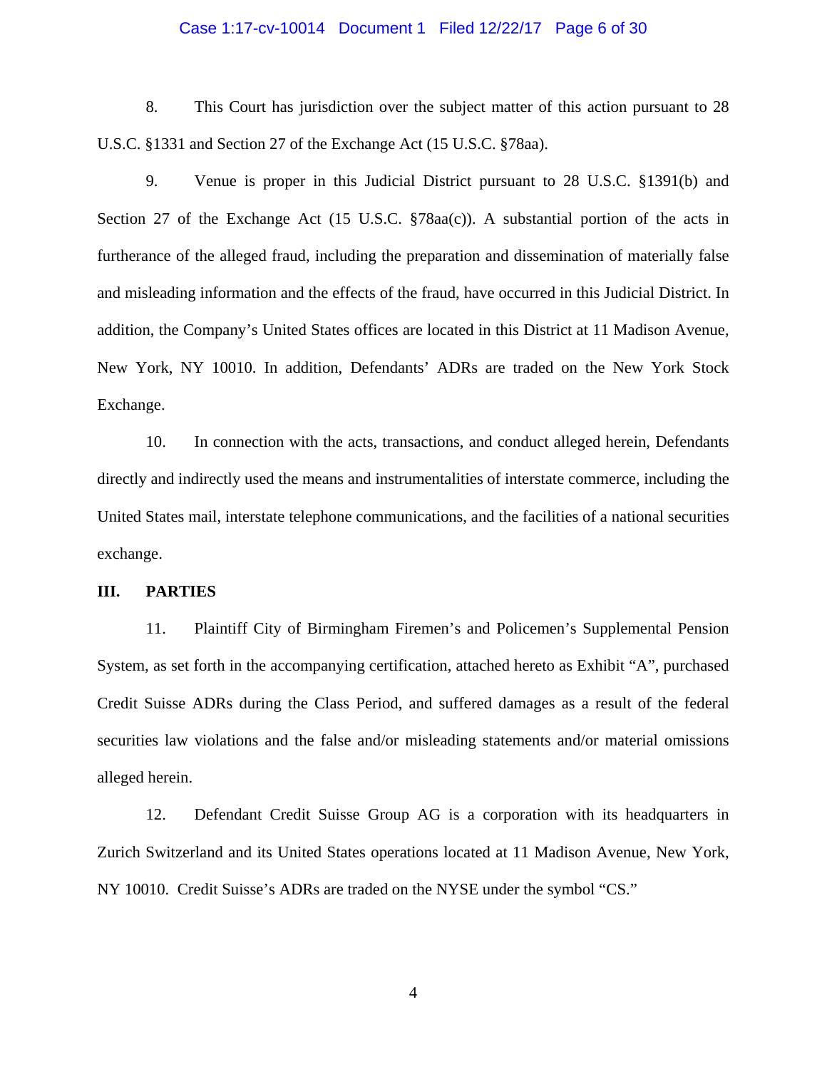#### Case 1:17-cv-10014 Document 1 Filed 12/22/17 Page 6 of 30

8. This Court has jurisdiction over the subject matter of this action pursuant to 28 U.S.C. §1331 and Section 27 of the Exchange Act (15 U.S.C. §78aa).

9. Venue is proper in this Judicial District pursuant to 28 U.S.C. §1391(b) and Section 27 of the Exchange Act (15 U.S.C. §78aa(c)). A substantial portion of the acts in furtherance of the alleged fraud, including the preparation and dissemination of materially false and misleading information and the effects of the fraud, have occurred in this Judicial District. In addition, the Company's United States offices are located in this District at 11 Madison Avenue, New York, NY 10010. In addition, Defendants' ADRs are traded on the New York Stock Exchange.

10. In connection with the acts, transactions, and conduct alleged herein, Defendants directly and indirectly used the means and instrumentalities of interstate commerce, including the United States mail, interstate telephone communications, and the facilities of a national securities exchange.

#### **III. PARTIES**

11. Plaintiff City of Birmingham Firemen's and Policemen's Supplemental Pension System, as set forth in the accompanying certification, attached hereto as Exhibit "A", purchased Credit Suisse ADRs during the Class Period, and suffered damages as a result of the federal securities law violations and the false and/or misleading statements and/or material omissions alleged herein.

12. Defendant Credit Suisse Group AG is a corporation with its headquarters in Zurich Switzerland and its United States operations located at 11 Madison Avenue, New York, NY 10010. Credit Suisse's ADRs are traded on the NYSE under the symbol "CS."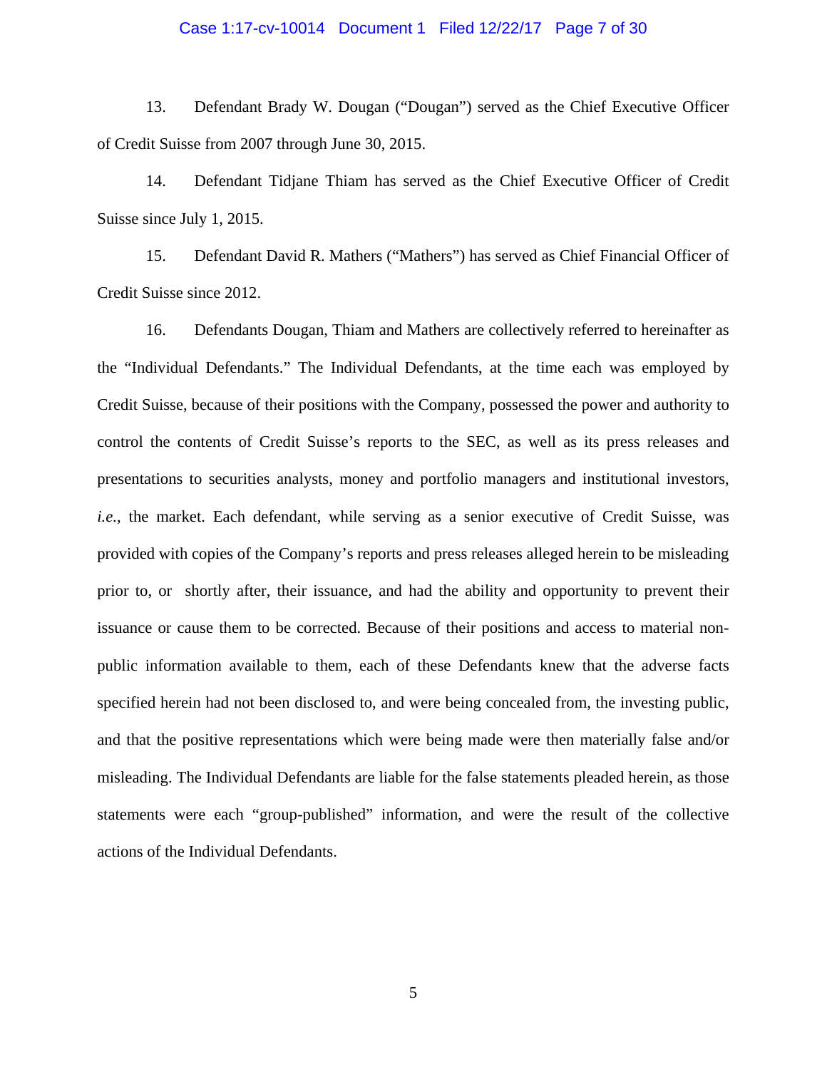#### Case 1:17-cv-10014 Document 1 Filed 12/22/17 Page 7 of 30

13. Defendant Brady W. Dougan ("Dougan") served as the Chief Executive Officer of Credit Suisse from 2007 through June 30, 2015.

14. Defendant Tidjane Thiam has served as the Chief Executive Officer of Credit Suisse since July 1, 2015.

15. Defendant David R. Mathers ("Mathers") has served as Chief Financial Officer of Credit Suisse since 2012.

16. Defendants Dougan, Thiam and Mathers are collectively referred to hereinafter as the "Individual Defendants." The Individual Defendants, at the time each was employed by Credit Suisse, because of their positions with the Company, possessed the power and authority to control the contents of Credit Suisse's reports to the SEC, as well as its press releases and presentations to securities analysts, money and portfolio managers and institutional investors, *i.e.*, the market. Each defendant, while serving as a senior executive of Credit Suisse, was provided with copies of the Company's reports and press releases alleged herein to be misleading prior to, or shortly after, their issuance, and had the ability and opportunity to prevent their issuance or cause them to be corrected. Because of their positions and access to material nonpublic information available to them, each of these Defendants knew that the adverse facts specified herein had not been disclosed to, and were being concealed from, the investing public, and that the positive representations which were being made were then materially false and/or misleading. The Individual Defendants are liable for the false statements pleaded herein, as those statements were each "group-published" information, and were the result of the collective actions of the Individual Defendants.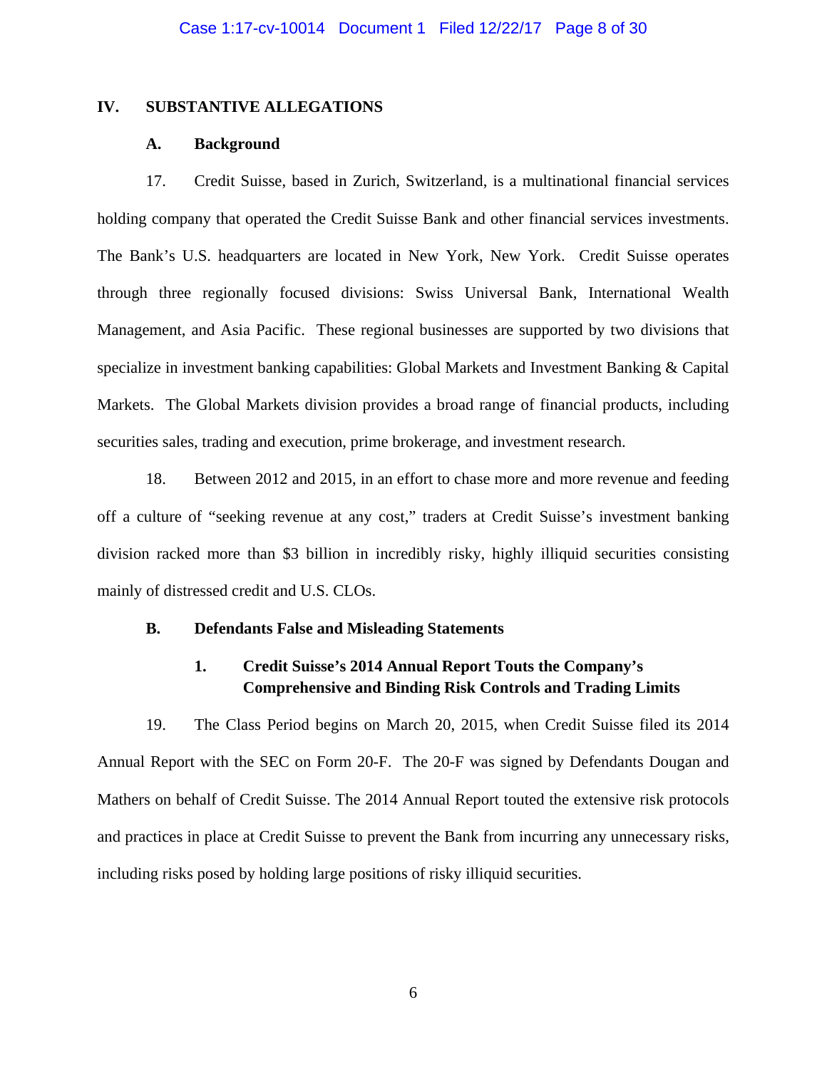#### **IV. SUBSTANTIVE ALLEGATIONS**

#### **A. Background**

17. Credit Suisse, based in Zurich, Switzerland, is a multinational financial services holding company that operated the Credit Suisse Bank and other financial services investments. The Bank's U.S. headquarters are located in New York, New York. Credit Suisse operates through three regionally focused divisions: Swiss Universal Bank, International Wealth Management, and Asia Pacific. These regional businesses are supported by two divisions that specialize in investment banking capabilities: Global Markets and Investment Banking & Capital Markets. The Global Markets division provides a broad range of financial products, including securities sales, trading and execution, prime brokerage, and investment research.

18. Between 2012 and 2015, in an effort to chase more and more revenue and feeding off a culture of "seeking revenue at any cost," traders at Credit Suisse's investment banking division racked more than \$3 billion in incredibly risky, highly illiquid securities consisting mainly of distressed credit and U.S. CLOs.

#### **B. Defendants False and Misleading Statements**

# **1. Credit Suisse's 2014 Annual Report Touts the Company's Comprehensive and Binding Risk Controls and Trading Limits**

19. The Class Period begins on March 20, 2015, when Credit Suisse filed its 2014 Annual Report with the SEC on Form 20-F. The 20-F was signed by Defendants Dougan and Mathers on behalf of Credit Suisse. The 2014 Annual Report touted the extensive risk protocols and practices in place at Credit Suisse to prevent the Bank from incurring any unnecessary risks, including risks posed by holding large positions of risky illiquid securities.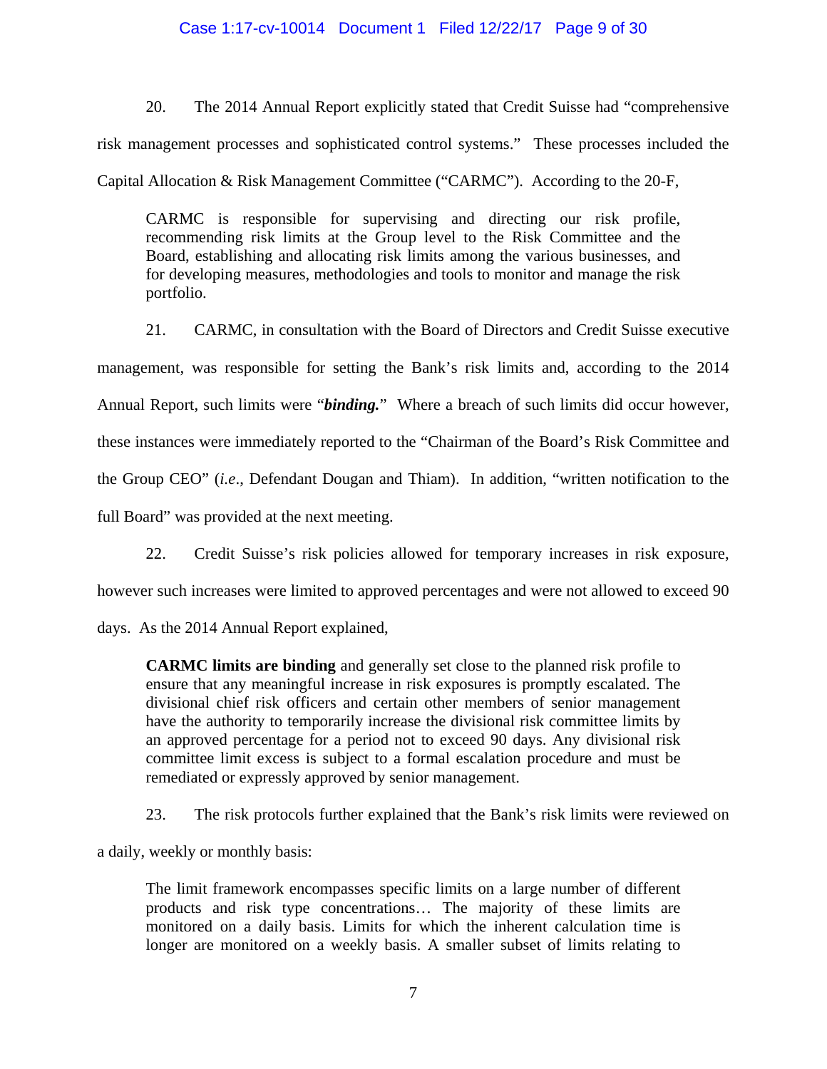## Case 1:17-cv-10014 Document 1 Filed 12/22/17 Page 9 of 30

20. The 2014 Annual Report explicitly stated that Credit Suisse had "comprehensive risk management processes and sophisticated control systems." These processes included the Capital Allocation & Risk Management Committee ("CARMC"). According to the 20-F,

CARMC is responsible for supervising and directing our risk profile, recommending risk limits at the Group level to the Risk Committee and the Board, establishing and allocating risk limits among the various businesses, and for developing measures, methodologies and tools to monitor and manage the risk portfolio.

21. CARMC, in consultation with the Board of Directors and Credit Suisse executive management, was responsible for setting the Bank's risk limits and, according to the 2014 Annual Report, such limits were "*binding.*" Where a breach of such limits did occur however, these instances were immediately reported to the "Chairman of the Board's Risk Committee and the Group CEO" (*i.e*., Defendant Dougan and Thiam).In addition, "written notification to the full Board" was provided at the next meeting.

22. Credit Suisse's risk policies allowed for temporary increases in risk exposure,

however such increases were limited to approved percentages and were not allowed to exceed 90

days. As the 2014 Annual Report explained,

**CARMC limits are binding** and generally set close to the planned risk profile to ensure that any meaningful increase in risk exposures is promptly escalated. The divisional chief risk officers and certain other members of senior management have the authority to temporarily increase the divisional risk committee limits by an approved percentage for a period not to exceed 90 days. Any divisional risk committee limit excess is subject to a formal escalation procedure and must be remediated or expressly approved by senior management.

23. The risk protocols further explained that the Bank's risk limits were reviewed on

a daily, weekly or monthly basis:

The limit framework encompasses specific limits on a large number of different products and risk type concentrations… The majority of these limits are monitored on a daily basis. Limits for which the inherent calculation time is longer are monitored on a weekly basis. A smaller subset of limits relating to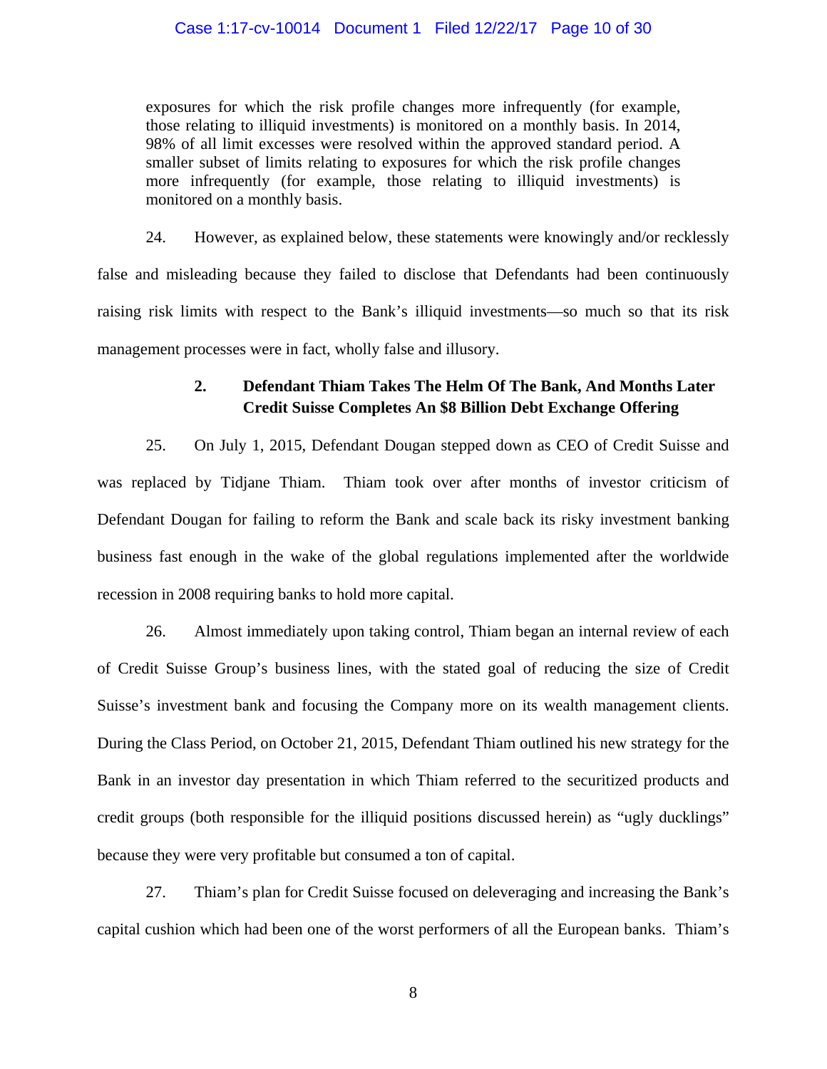## Case 1:17-cv-10014 Document 1 Filed 12/22/17 Page 10 of 30

exposures for which the risk profile changes more infrequently (for example, those relating to illiquid investments) is monitored on a monthly basis. In 2014, 98% of all limit excesses were resolved within the approved standard period. A smaller subset of limits relating to exposures for which the risk profile changes more infrequently (for example, those relating to illiquid investments) is monitored on a monthly basis.

24. However, as explained below, these statements were knowingly and/or recklessly false and misleading because they failed to disclose that Defendants had been continuously raising risk limits with respect to the Bank's illiquid investments—so much so that its risk management processes were in fact, wholly false and illusory.

# **2. Defendant Thiam Takes The Helm Of The Bank, And Months Later Credit Suisse Completes An \$8 Billion Debt Exchange Offering**

25. On July 1, 2015, Defendant Dougan stepped down as CEO of Credit Suisse and was replaced by Tidjane Thiam. Thiam took over after months of investor criticism of Defendant Dougan for failing to reform the Bank and scale back its risky investment banking business fast enough in the wake of the global regulations implemented after the worldwide recession in 2008 requiring banks to hold more capital.

26. Almost immediately upon taking control, Thiam began an internal review of each of Credit Suisse Group's business lines, with the stated goal of reducing the size of Credit Suisse's investment bank and focusing the Company more on its wealth management clients. During the Class Period, on October 21, 2015, Defendant Thiam outlined his new strategy for the Bank in an investor day presentation in which Thiam referred to the securitized products and credit groups (both responsible for the illiquid positions discussed herein) as "ugly ducklings" because they were very profitable but consumed a ton of capital.

27. Thiam's plan for Credit Suisse focused on deleveraging and increasing the Bank's capital cushion which had been one of the worst performers of all the European banks. Thiam's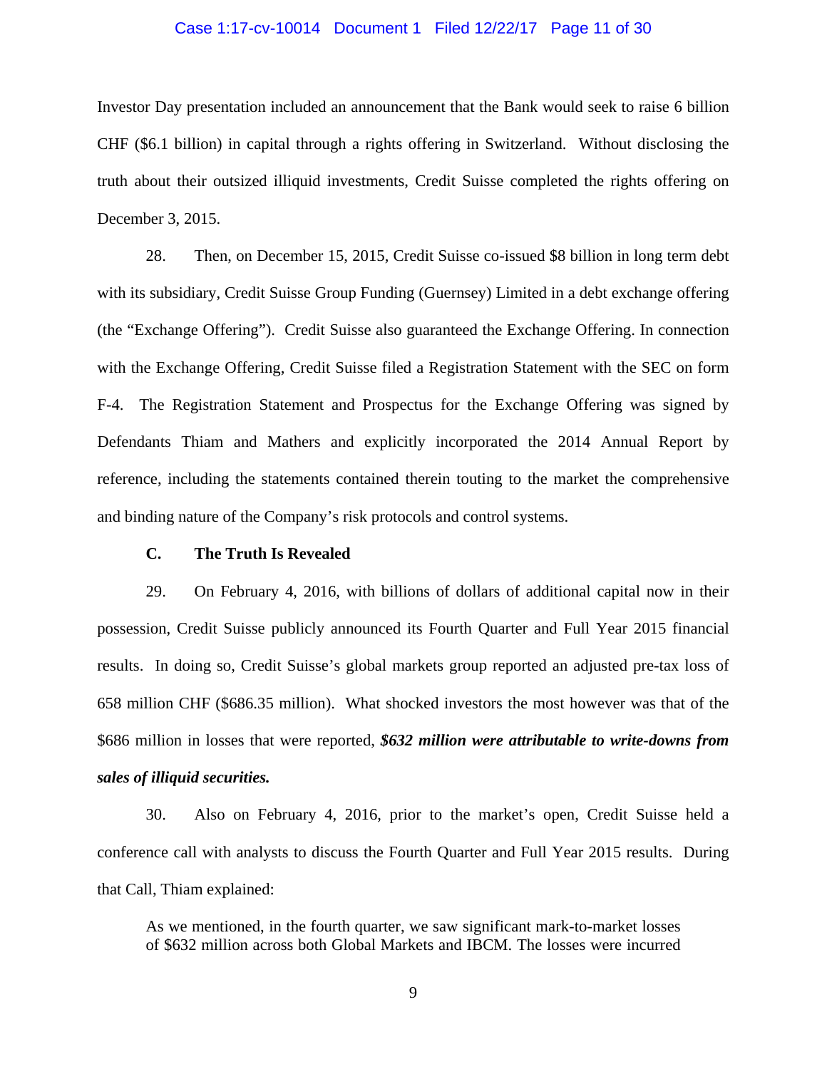#### Case 1:17-cv-10014 Document 1 Filed 12/22/17 Page 11 of 30

Investor Day presentation included an announcement that the Bank would seek to raise 6 billion CHF (\$6.1 billion) in capital through a rights offering in Switzerland. Without disclosing the truth about their outsized illiquid investments, Credit Suisse completed the rights offering on December 3, 2015.

28. Then, on December 15, 2015, Credit Suisse co-issued \$8 billion in long term debt with its subsidiary, Credit Suisse Group Funding (Guernsey) Limited in a debt exchange offering (the "Exchange Offering"). Credit Suisse also guaranteed the Exchange Offering. In connection with the Exchange Offering, Credit Suisse filed a Registration Statement with the SEC on form F-4. The Registration Statement and Prospectus for the Exchange Offering was signed by Defendants Thiam and Mathers and explicitly incorporated the 2014 Annual Report by reference, including the statements contained therein touting to the market the comprehensive and binding nature of the Company's risk protocols and control systems.

## **C. The Truth Is Revealed**

29. On February 4, 2016, with billions of dollars of additional capital now in their possession, Credit Suisse publicly announced its Fourth Quarter and Full Year 2015 financial results. In doing so, Credit Suisse's global markets group reported an adjusted pre-tax loss of 658 million CHF (\$686.35 million). What shocked investors the most however was that of the \$686 million in losses that were reported, *\$632 million were attributable to write-downs from sales of illiquid securities.*

30. Also on February 4, 2016, prior to the market's open, Credit Suisse held a conference call with analysts to discuss the Fourth Quarter and Full Year 2015 results. During that Call, Thiam explained:

As we mentioned, in the fourth quarter, we saw significant mark-to-market losses of \$632 million across both Global Markets and IBCM. The losses were incurred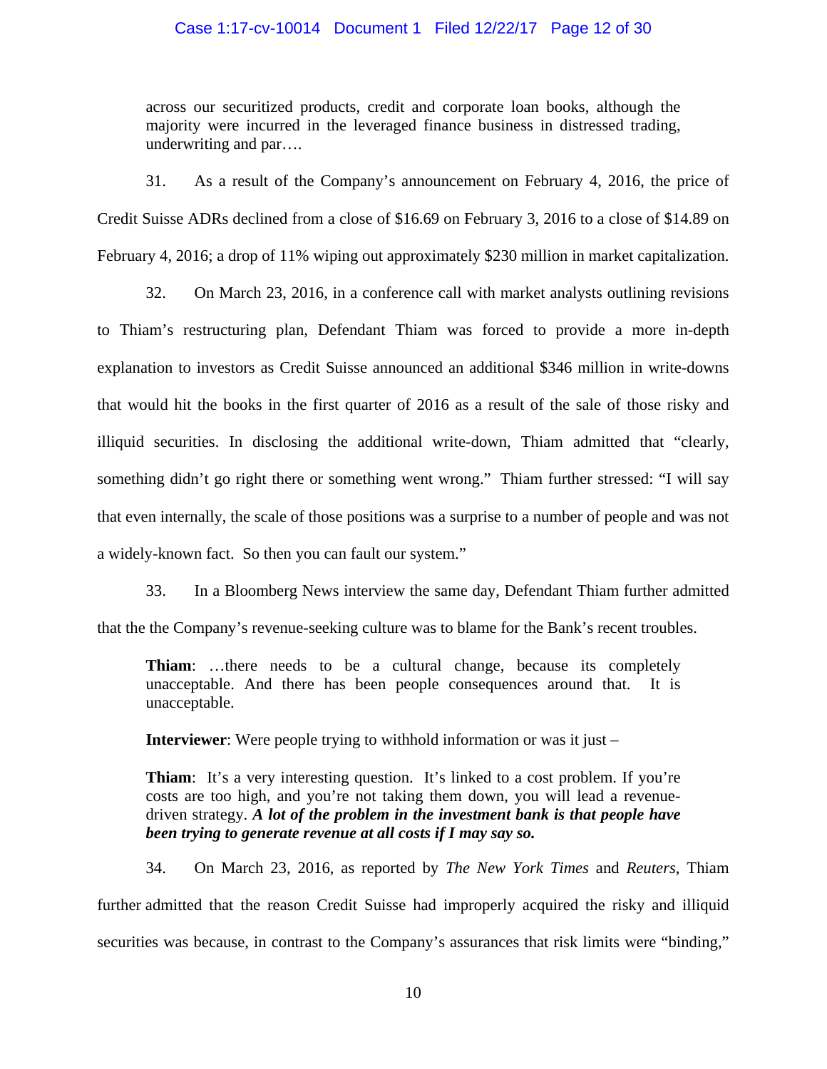## Case 1:17-cv-10014 Document 1 Filed 12/22/17 Page 12 of 30

across our securitized products, credit and corporate loan books, although the majority were incurred in the leveraged finance business in distressed trading, underwriting and par….

31. As a result of the Company's announcement on February 4, 2016, the price of Credit Suisse ADRs declined from a close of \$16.69 on February 3, 2016 to a close of \$14.89 on February 4, 2016; a drop of 11% wiping out approximately \$230 million in market capitalization.

32. On March 23, 2016, in a conference call with market analysts outlining revisions to Thiam's restructuring plan, Defendant Thiam was forced to provide a more in-depth explanation to investors as Credit Suisse announced an additional \$346 million in write-downs that would hit the books in the first quarter of 2016 as a result of the sale of those risky and illiquid securities. In disclosing the additional write-down, Thiam admitted that "clearly, something didn't go right there or something went wrong." Thiam further stressed: "I will say that even internally, the scale of those positions was a surprise to a number of people and was not a widely-known fact. So then you can fault our system."

33. In a Bloomberg News interview the same day, Defendant Thiam further admitted that the the Company's revenue-seeking culture was to blame for the Bank's recent troubles.

**Thiam**: ...there needs to be a cultural change, because its completely unacceptable. And there has been people consequences around that. It is unacceptable.

**Interviewer**: Were people trying to withhold information or was it just –

**Thiam**: It's a very interesting question. It's linked to a cost problem. If you're costs are too high, and you're not taking them down, you will lead a revenuedriven strategy. *A lot of the problem in the investment bank is that people have been trying to generate revenue at all costs if I may say so.*

34. On March 23, 2016, as reported by *The New York Times* and *Reuters*, Thiam further admitted that the reason Credit Suisse had improperly acquired the risky and illiquid securities was because, in contrast to the Company's assurances that risk limits were "binding,"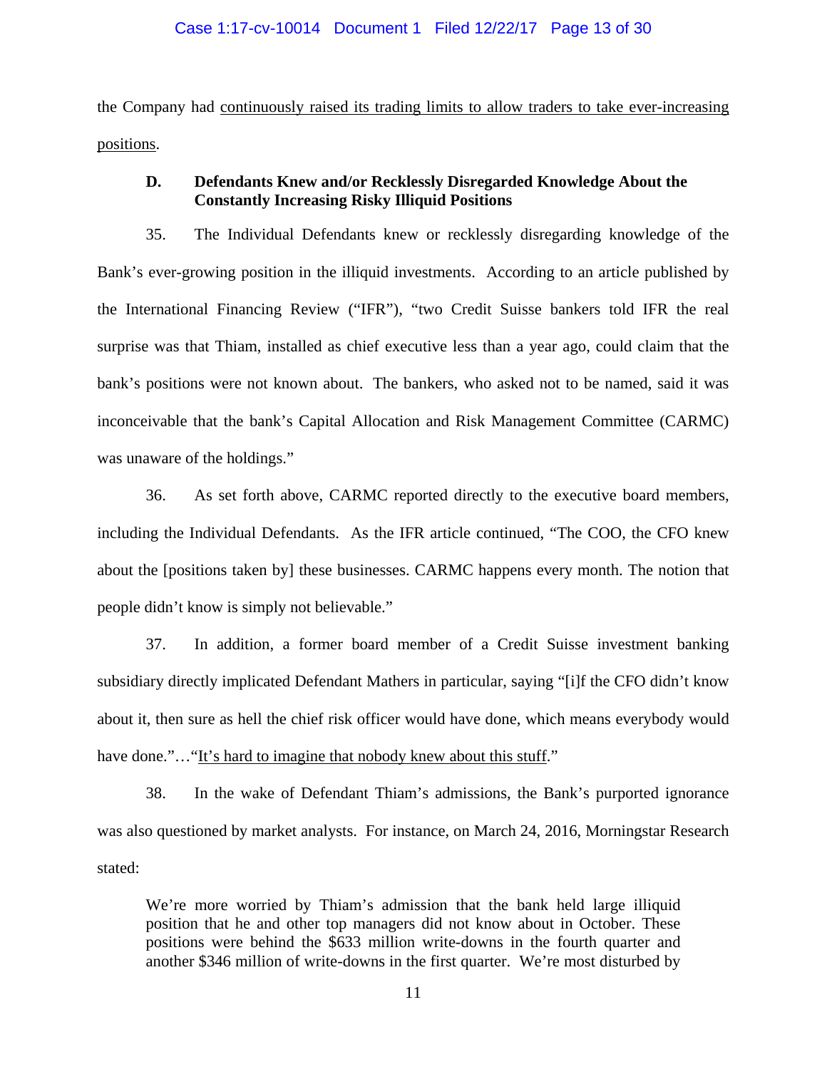the Company had continuously raised its trading limits to allow traders to take ever-increasing positions.

# **D. Defendants Knew and/or Recklessly Disregarded Knowledge About the Constantly Increasing Risky Illiquid Positions**

35. The Individual Defendants knew or recklessly disregarding knowledge of the Bank's ever-growing position in the illiquid investments. According to an article published by the International Financing Review ("IFR"), "two Credit Suisse bankers told IFR the real surprise was that Thiam, installed as chief executive less than a year ago, could claim that the bank's positions were not known about. The bankers, who asked not to be named, said it was inconceivable that the bank's Capital Allocation and Risk Management Committee (CARMC) was unaware of the holdings."

36. As set forth above, CARMC reported directly to the executive board members, including the Individual Defendants. As the IFR article continued, "The COO, the CFO knew about the [positions taken by] these businesses. CARMC happens every month. The notion that people didn't know is simply not believable."

37. In addition, a former board member of a Credit Suisse investment banking subsidiary directly implicated Defendant Mathers in particular, saying "[i]f the CFO didn't know about it, then sure as hell the chief risk officer would have done, which means everybody would have done."..."It's hard to imagine that nobody knew about this stuff."

38. In the wake of Defendant Thiam's admissions, the Bank's purported ignorance was also questioned by market analysts. For instance, on March 24, 2016, Morningstar Research stated:

We're more worried by Thiam's admission that the bank held large illiquid position that he and other top managers did not know about in October. These positions were behind the \$633 million write-downs in the fourth quarter and another \$346 million of write-downs in the first quarter. We're most disturbed by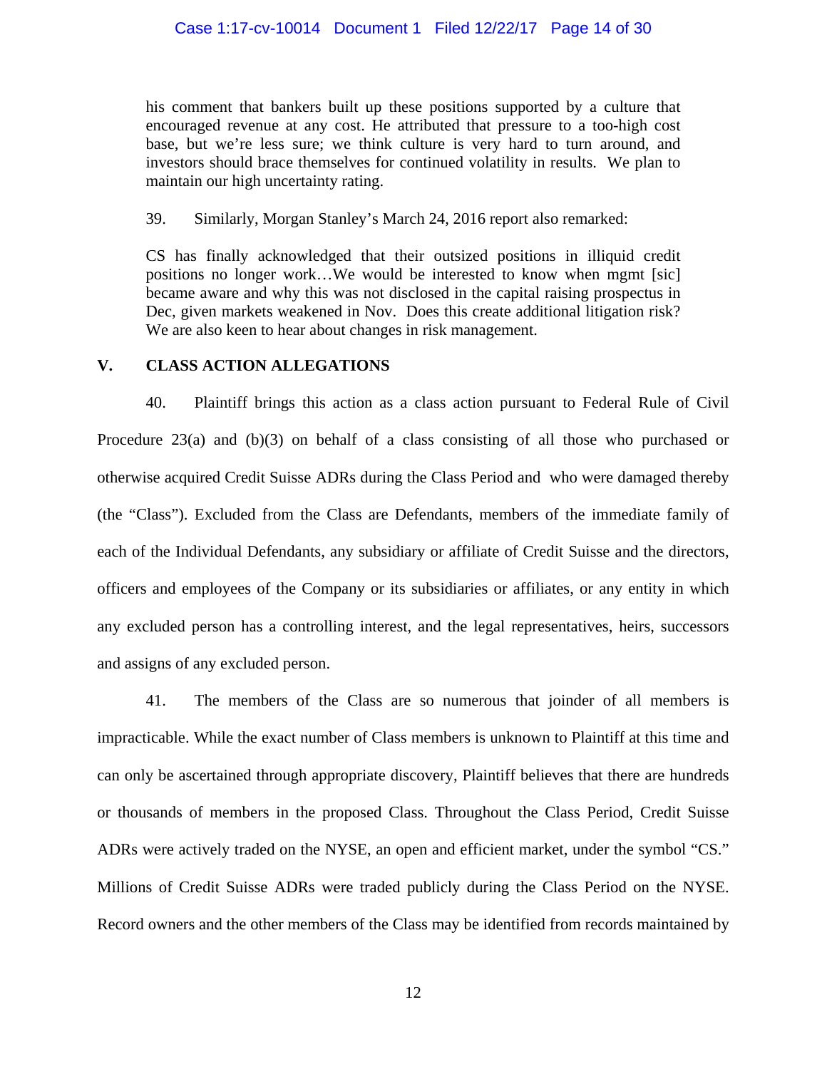his comment that bankers built up these positions supported by a culture that encouraged revenue at any cost. He attributed that pressure to a too-high cost base, but we're less sure; we think culture is very hard to turn around, and investors should brace themselves for continued volatility in results. We plan to maintain our high uncertainty rating.

39. Similarly, Morgan Stanley's March 24, 2016 report also remarked:

CS has finally acknowledged that their outsized positions in illiquid credit positions no longer work…We would be interested to know when mgmt [sic] became aware and why this was not disclosed in the capital raising prospectus in Dec, given markets weakened in Nov. Does this create additional litigation risk? We are also keen to hear about changes in risk management.

## **V. CLASS ACTION ALLEGATIONS**

40. Plaintiff brings this action as a class action pursuant to Federal Rule of Civil Procedure 23(a) and (b)(3) on behalf of a class consisting of all those who purchased or otherwise acquired Credit Suisse ADRs during the Class Period and who were damaged thereby (the "Class"). Excluded from the Class are Defendants, members of the immediate family of each of the Individual Defendants, any subsidiary or affiliate of Credit Suisse and the directors, officers and employees of the Company or its subsidiaries or affiliates, or any entity in which any excluded person has a controlling interest, and the legal representatives, heirs, successors and assigns of any excluded person.

41. The members of the Class are so numerous that joinder of all members is impracticable. While the exact number of Class members is unknown to Plaintiff at this time and can only be ascertained through appropriate discovery, Plaintiff believes that there are hundreds or thousands of members in the proposed Class. Throughout the Class Period, Credit Suisse ADRs were actively traded on the NYSE, an open and efficient market, under the symbol "CS." Millions of Credit Suisse ADRs were traded publicly during the Class Period on the NYSE. Record owners and the other members of the Class may be identified from records maintained by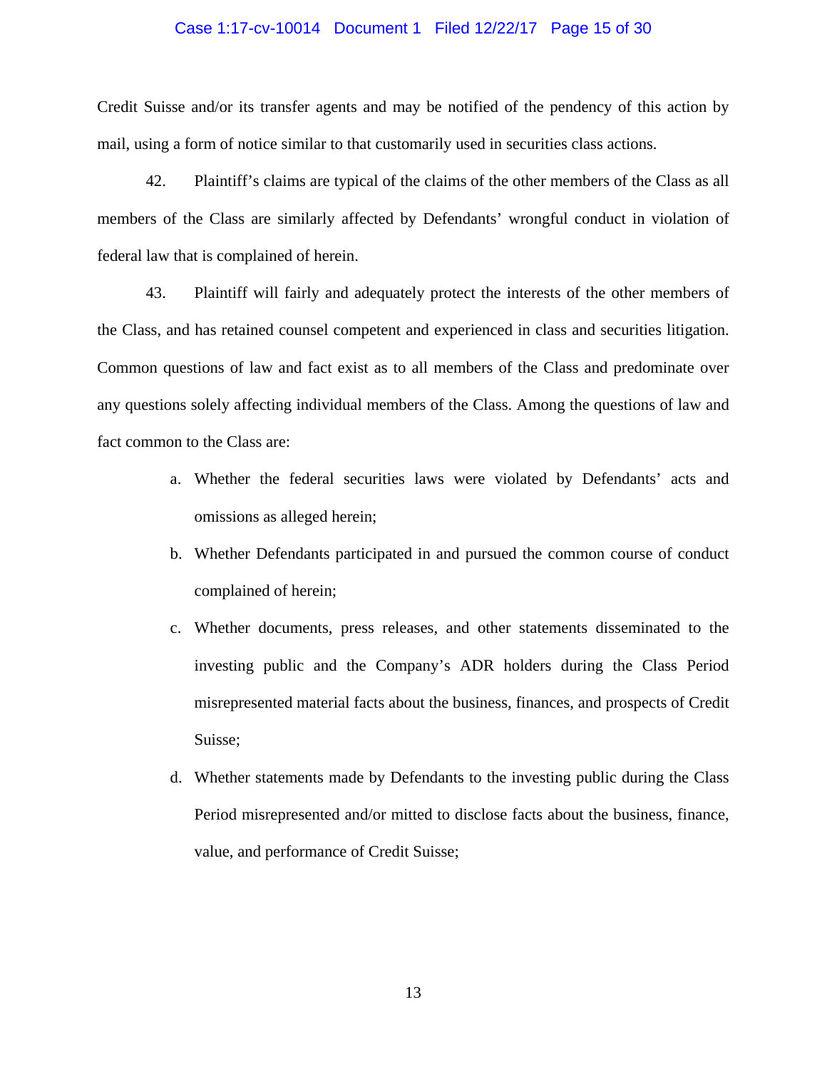#### Case 1:17-cv-10014 Document 1 Filed 12/22/17 Page 15 of 30

Credit Suisse and/or its transfer agents and may be notified of the pendency of this action by mail, using a form of notice similar to that customarily used in securities class actions.

42. Plaintiff's claims are typical of the claims of the other members of the Class as all members of the Class are similarly affected by Defendants' wrongful conduct in violation of federal law that is complained of herein.

43. Plaintiff will fairly and adequately protect the interests of the other members of the Class, and has retained counsel competent and experienced in class and securities litigation. Common questions of law and fact exist as to all members of the Class and predominate over any questions solely affecting individual members of the Class. Among the questions of law and fact common to the Class are:

- a. Whether the federal securities laws were violated by Defendants' acts and omissions as alleged herein;
- b. Whether Defendants participated in and pursued the common course of conduct complained of herein;
- c. Whether documents, press releases, and other statements disseminated to the investing public and the Company's ADR holders during the Class Period misrepresented material facts about the business, finances, and prospects of Credit Suisse;
- d. Whether statements made by Defendants to the investing public during the Class Period misrepresented and/or mitted to disclose facts about the business, finance, value, and performance of Credit Suisse;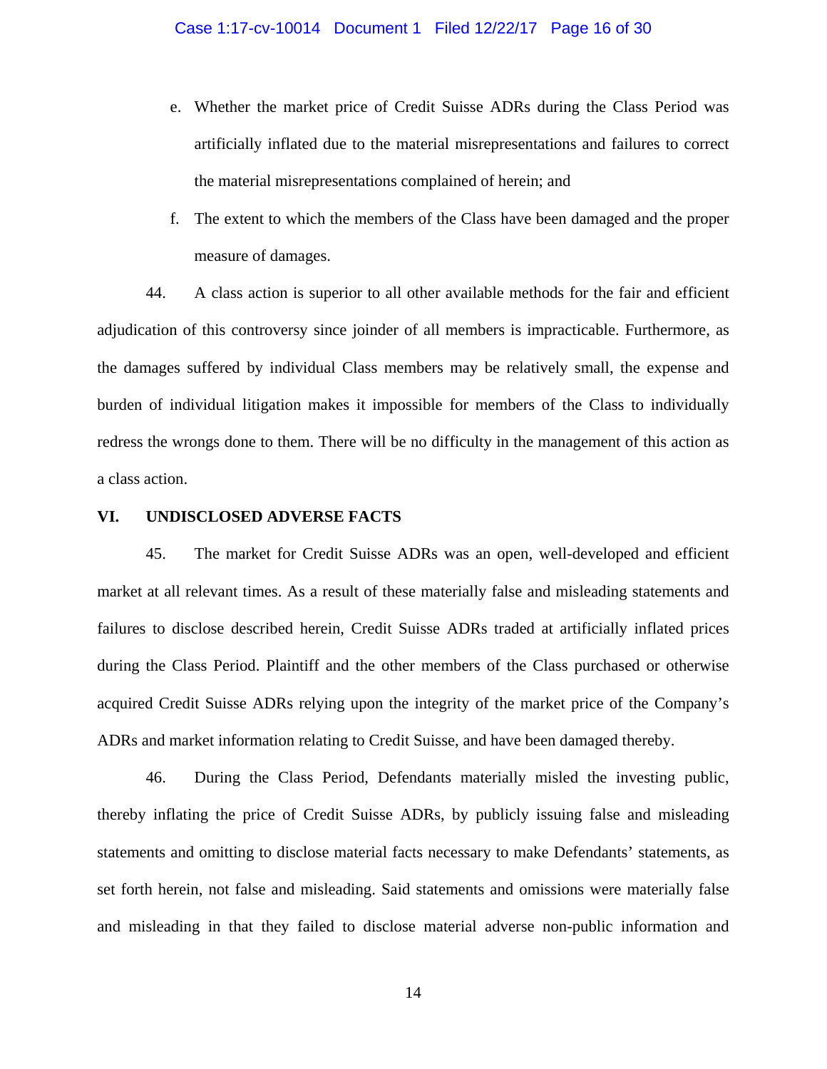- e. Whether the market price of Credit Suisse ADRs during the Class Period was artificially inflated due to the material misrepresentations and failures to correct the material misrepresentations complained of herein; and
- f. The extent to which the members of the Class have been damaged and the proper measure of damages.

44. A class action is superior to all other available methods for the fair and efficient adjudication of this controversy since joinder of all members is impracticable. Furthermore, as the damages suffered by individual Class members may be relatively small, the expense and burden of individual litigation makes it impossible for members of the Class to individually redress the wrongs done to them. There will be no difficulty in the management of this action as a class action.

#### **VI. UNDISCLOSED ADVERSE FACTS**

45. The market for Credit Suisse ADRs was an open, well-developed and efficient market at all relevant times. As a result of these materially false and misleading statements and failures to disclose described herein, Credit Suisse ADRs traded at artificially inflated prices during the Class Period. Plaintiff and the other members of the Class purchased or otherwise acquired Credit Suisse ADRs relying upon the integrity of the market price of the Company's ADRs and market information relating to Credit Suisse, and have been damaged thereby.

46. During the Class Period, Defendants materially misled the investing public, thereby inflating the price of Credit Suisse ADRs, by publicly issuing false and misleading statements and omitting to disclose material facts necessary to make Defendants' statements, as set forth herein, not false and misleading. Said statements and omissions were materially false and misleading in that they failed to disclose material adverse non-public information and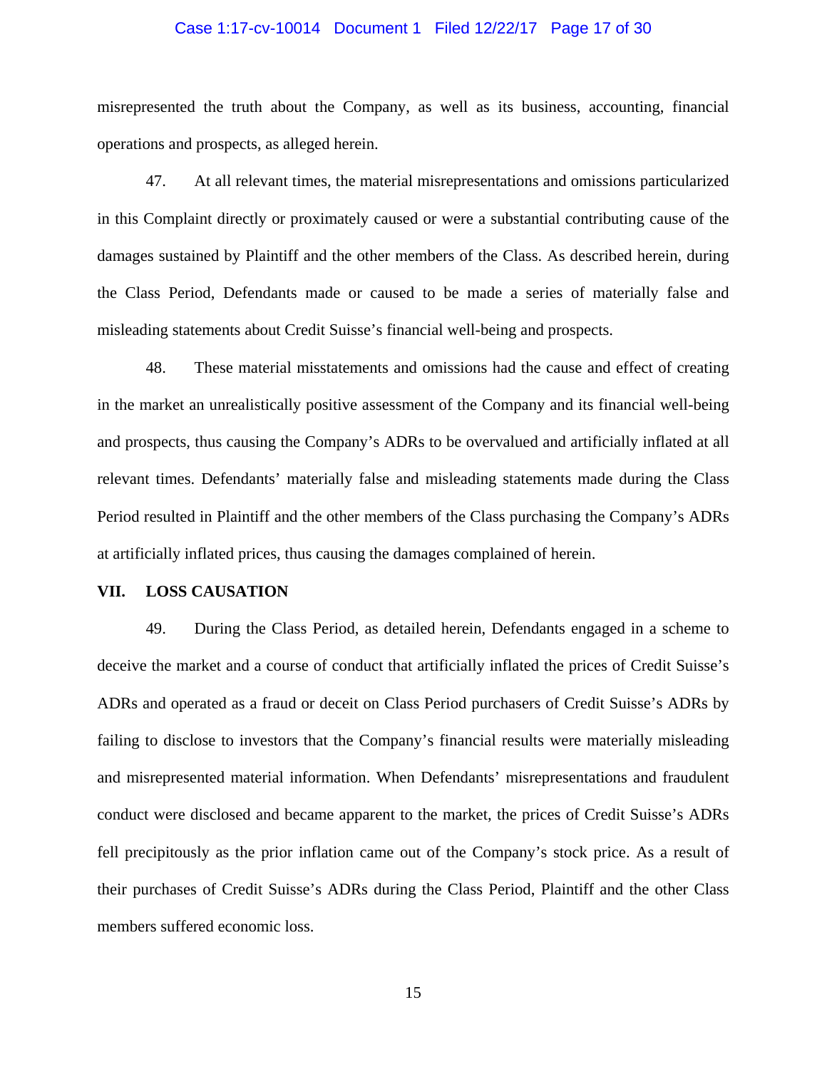#### Case 1:17-cv-10014 Document 1 Filed 12/22/17 Page 17 of 30

misrepresented the truth about the Company, as well as its business, accounting, financial operations and prospects, as alleged herein.

47. At all relevant times, the material misrepresentations and omissions particularized in this Complaint directly or proximately caused or were a substantial contributing cause of the damages sustained by Plaintiff and the other members of the Class. As described herein, during the Class Period, Defendants made or caused to be made a series of materially false and misleading statements about Credit Suisse's financial well-being and prospects.

48. These material misstatements and omissions had the cause and effect of creating in the market an unrealistically positive assessment of the Company and its financial well-being and prospects, thus causing the Company's ADRs to be overvalued and artificially inflated at all relevant times. Defendants' materially false and misleading statements made during the Class Period resulted in Plaintiff and the other members of the Class purchasing the Company's ADRs at artificially inflated prices, thus causing the damages complained of herein.

#### **VII. LOSS CAUSATION**

49. During the Class Period, as detailed herein, Defendants engaged in a scheme to deceive the market and a course of conduct that artificially inflated the prices of Credit Suisse's ADRs and operated as a fraud or deceit on Class Period purchasers of Credit Suisse's ADRs by failing to disclose to investors that the Company's financial results were materially misleading and misrepresented material information. When Defendants' misrepresentations and fraudulent conduct were disclosed and became apparent to the market, the prices of Credit Suisse's ADRs fell precipitously as the prior inflation came out of the Company's stock price. As a result of their purchases of Credit Suisse's ADRs during the Class Period, Plaintiff and the other Class members suffered economic loss.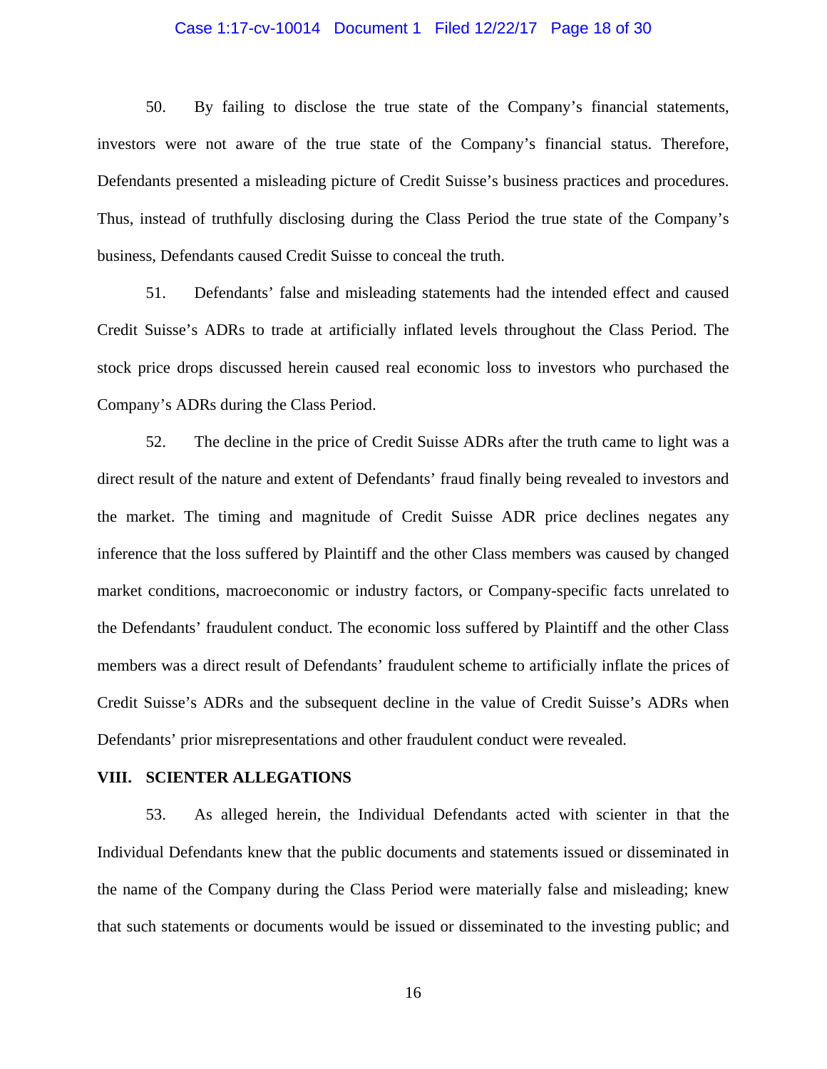#### Case 1:17-cv-10014 Document 1 Filed 12/22/17 Page 18 of 30

50. By failing to disclose the true state of the Company's financial statements, investors were not aware of the true state of the Company's financial status. Therefore, Defendants presented a misleading picture of Credit Suisse's business practices and procedures. Thus, instead of truthfully disclosing during the Class Period the true state of the Company's business, Defendants caused Credit Suisse to conceal the truth.

51. Defendants' false and misleading statements had the intended effect and caused Credit Suisse's ADRs to trade at artificially inflated levels throughout the Class Period. The stock price drops discussed herein caused real economic loss to investors who purchased the Company's ADRs during the Class Period.

52. The decline in the price of Credit Suisse ADRs after the truth came to light was a direct result of the nature and extent of Defendants' fraud finally being revealed to investors and the market. The timing and magnitude of Credit Suisse ADR price declines negates any inference that the loss suffered by Plaintiff and the other Class members was caused by changed market conditions, macroeconomic or industry factors, or Company-specific facts unrelated to the Defendants' fraudulent conduct. The economic loss suffered by Plaintiff and the other Class members was a direct result of Defendants' fraudulent scheme to artificially inflate the prices of Credit Suisse's ADRs and the subsequent decline in the value of Credit Suisse's ADRs when Defendants' prior misrepresentations and other fraudulent conduct were revealed.

#### **VIII. SCIENTER ALLEGATIONS**

53. As alleged herein, the Individual Defendants acted with scienter in that the Individual Defendants knew that the public documents and statements issued or disseminated in the name of the Company during the Class Period were materially false and misleading; knew that such statements or documents would be issued or disseminated to the investing public; and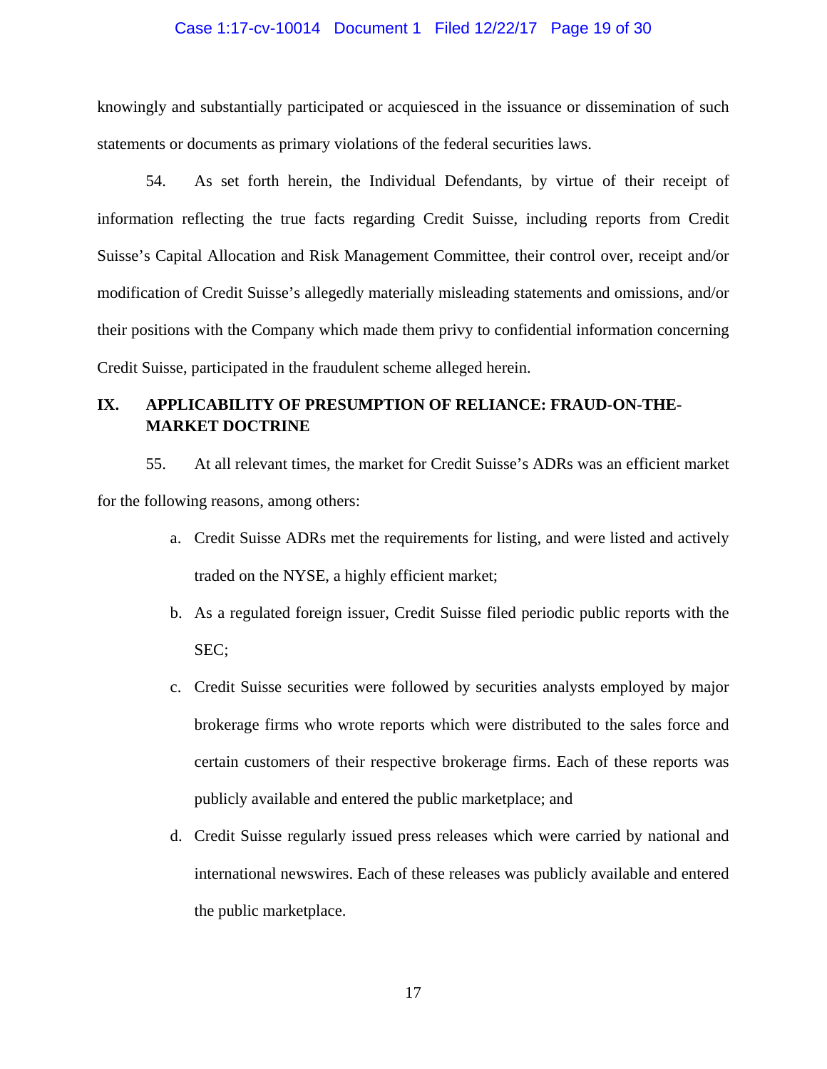# Case 1:17-cv-10014 Document 1 Filed 12/22/17 Page 19 of 30

knowingly and substantially participated or acquiesced in the issuance or dissemination of such statements or documents as primary violations of the federal securities laws.

54. As set forth herein, the Individual Defendants, by virtue of their receipt of information reflecting the true facts regarding Credit Suisse, including reports from Credit Suisse's Capital Allocation and Risk Management Committee, their control over, receipt and/or modification of Credit Suisse's allegedly materially misleading statements and omissions, and/or their positions with the Company which made them privy to confidential information concerning Credit Suisse, participated in the fraudulent scheme alleged herein.

# **IX. APPLICABILITY OF PRESUMPTION OF RELIANCE: FRAUD-ON-THE-MARKET DOCTRINE**

55. At all relevant times, the market for Credit Suisse's ADRs was an efficient market for the following reasons, among others:

- a. Credit Suisse ADRs met the requirements for listing, and were listed and actively traded on the NYSE, a highly efficient market;
- b. As a regulated foreign issuer, Credit Suisse filed periodic public reports with the SEC;
- c. Credit Suisse securities were followed by securities analysts employed by major brokerage firms who wrote reports which were distributed to the sales force and certain customers of their respective brokerage firms. Each of these reports was publicly available and entered the public marketplace; and
- d. Credit Suisse regularly issued press releases which were carried by national and international newswires. Each of these releases was publicly available and entered the public marketplace.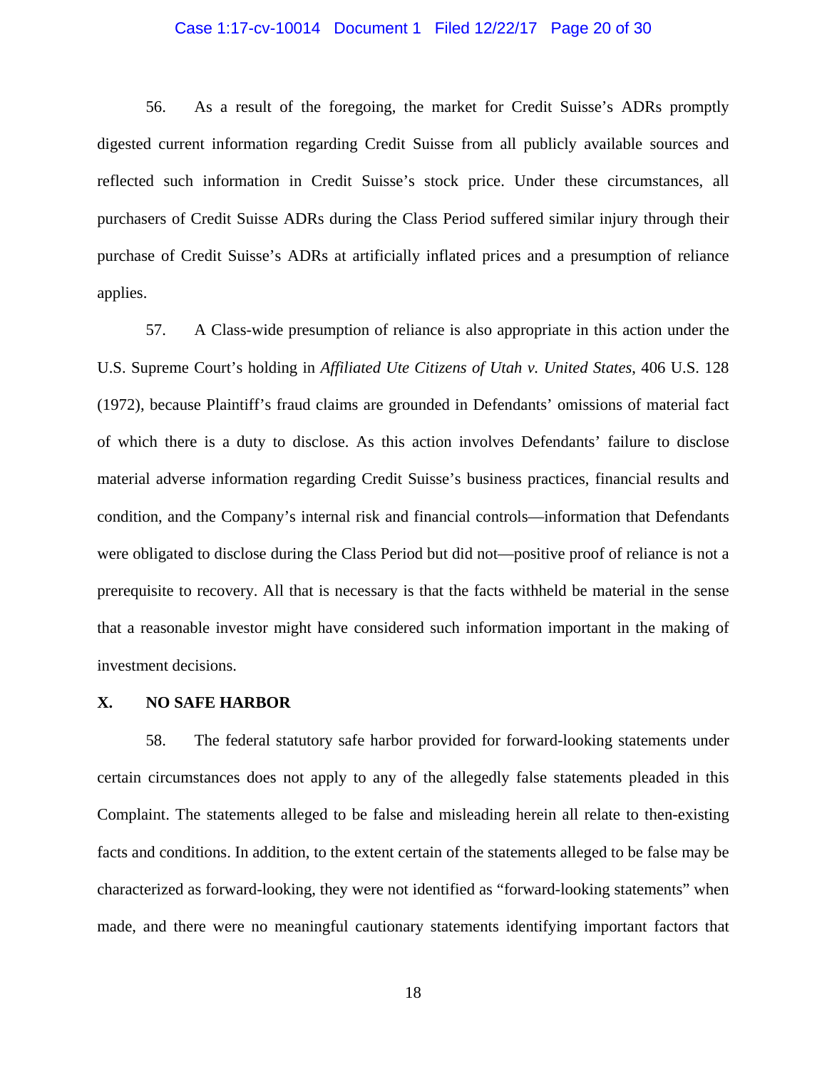#### Case 1:17-cv-10014 Document 1 Filed 12/22/17 Page 20 of 30

56. As a result of the foregoing, the market for Credit Suisse's ADRs promptly digested current information regarding Credit Suisse from all publicly available sources and reflected such information in Credit Suisse's stock price. Under these circumstances, all purchasers of Credit Suisse ADRs during the Class Period suffered similar injury through their purchase of Credit Suisse's ADRs at artificially inflated prices and a presumption of reliance applies.

57. A Class-wide presumption of reliance is also appropriate in this action under the U.S. Supreme Court's holding in *Affiliated Ute Citizens of Utah v. United States*, 406 U.S. 128 (1972), because Plaintiff's fraud claims are grounded in Defendants' omissions of material fact of which there is a duty to disclose. As this action involves Defendants' failure to disclose material adverse information regarding Credit Suisse's business practices, financial results and condition, and the Company's internal risk and financial controls—information that Defendants were obligated to disclose during the Class Period but did not—positive proof of reliance is not a prerequisite to recovery. All that is necessary is that the facts withheld be material in the sense that a reasonable investor might have considered such information important in the making of investment decisions.

#### **X. NO SAFE HARBOR**

58. The federal statutory safe harbor provided for forward-looking statements under certain circumstances does not apply to any of the allegedly false statements pleaded in this Complaint. The statements alleged to be false and misleading herein all relate to then-existing facts and conditions. In addition, to the extent certain of the statements alleged to be false may be characterized as forward-looking, they were not identified as "forward-looking statements" when made, and there were no meaningful cautionary statements identifying important factors that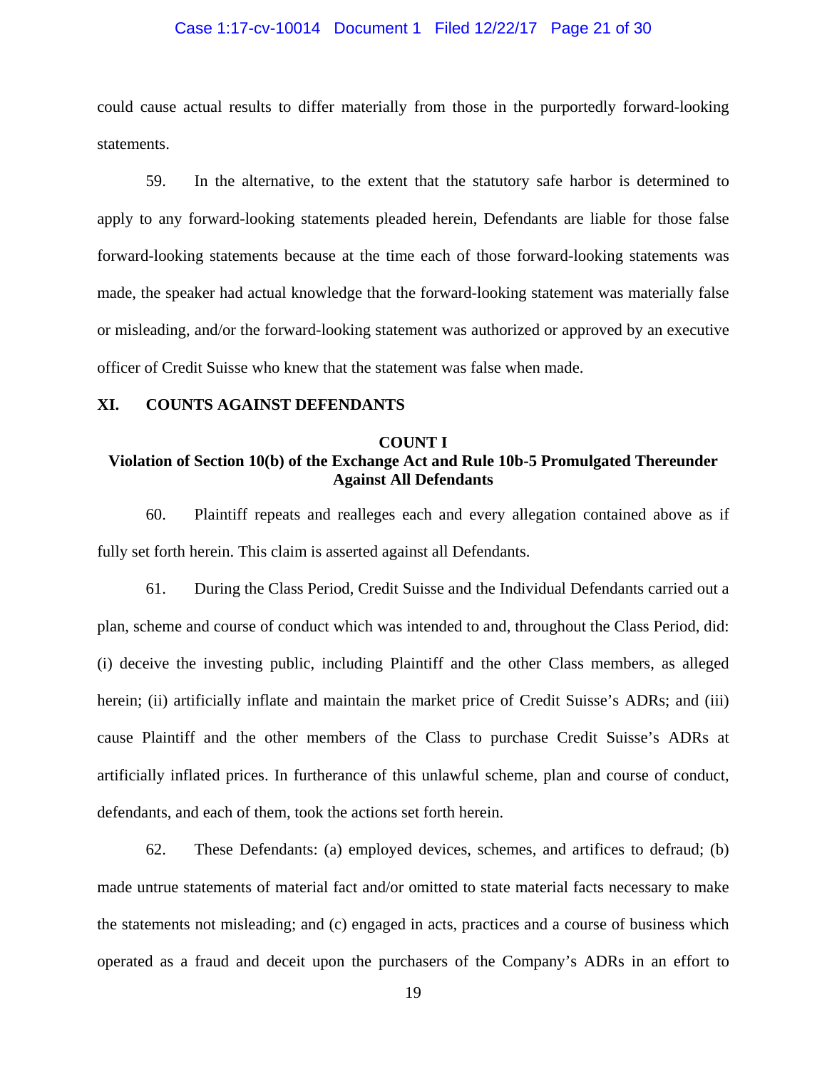#### Case 1:17-cv-10014 Document 1 Filed 12/22/17 Page 21 of 30

could cause actual results to differ materially from those in the purportedly forward-looking statements.

59. In the alternative, to the extent that the statutory safe harbor is determined to apply to any forward-looking statements pleaded herein, Defendants are liable for those false forward-looking statements because at the time each of those forward-looking statements was made, the speaker had actual knowledge that the forward-looking statement was materially false or misleading, and/or the forward-looking statement was authorized or approved by an executive officer of Credit Suisse who knew that the statement was false when made.

#### **XI. COUNTS AGAINST DEFENDANTS**

#### **COUNT I**

# **Violation of Section 10(b) of the Exchange Act and Rule 10b-5 Promulgated Thereunder Against All Defendants**

60. Plaintiff repeats and realleges each and every allegation contained above as if fully set forth herein. This claim is asserted against all Defendants.

61. During the Class Period, Credit Suisse and the Individual Defendants carried out a plan, scheme and course of conduct which was intended to and, throughout the Class Period, did: (i) deceive the investing public, including Plaintiff and the other Class members, as alleged herein; (ii) artificially inflate and maintain the market price of Credit Suisse's ADRs; and (iii) cause Plaintiff and the other members of the Class to purchase Credit Suisse's ADRs at artificially inflated prices. In furtherance of this unlawful scheme, plan and course of conduct, defendants, and each of them, took the actions set forth herein.

62. These Defendants: (a) employed devices, schemes, and artifices to defraud; (b) made untrue statements of material fact and/or omitted to state material facts necessary to make the statements not misleading; and (c) engaged in acts, practices and a course of business which operated as a fraud and deceit upon the purchasers of the Company's ADRs in an effort to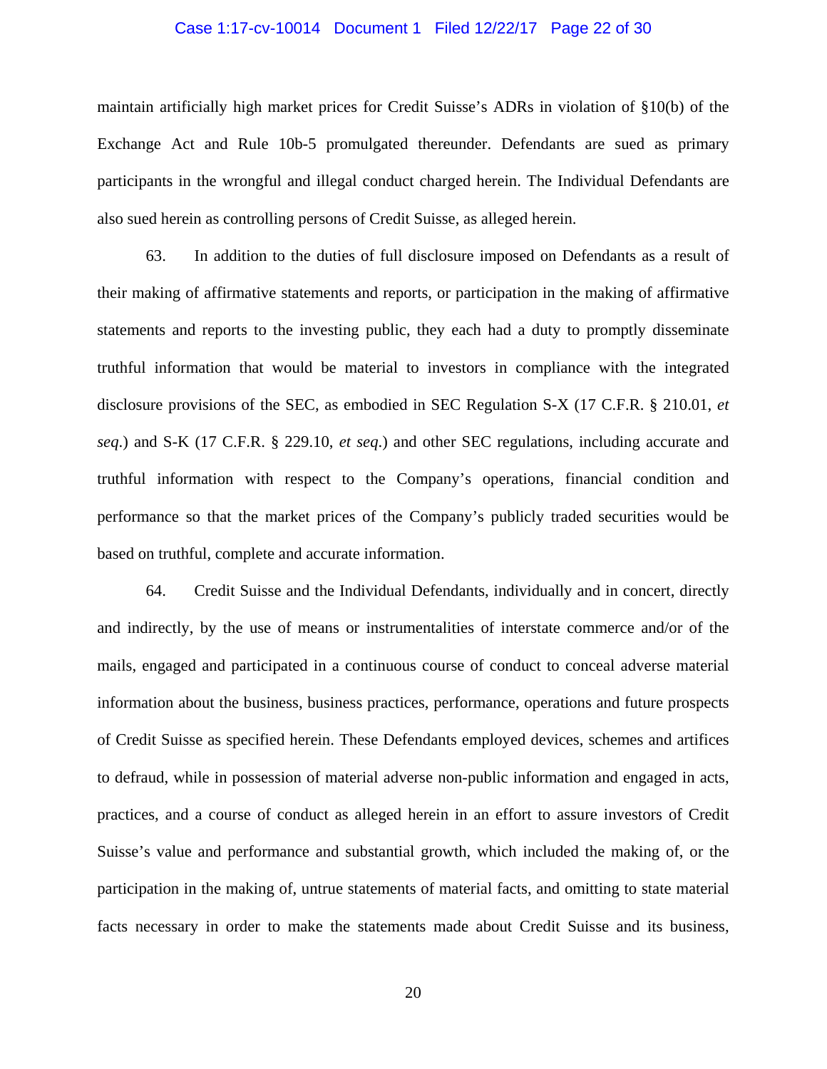#### Case 1:17-cv-10014 Document 1 Filed 12/22/17 Page 22 of 30

maintain artificially high market prices for Credit Suisse's ADRs in violation of §10(b) of the Exchange Act and Rule 10b-5 promulgated thereunder. Defendants are sued as primary participants in the wrongful and illegal conduct charged herein. The Individual Defendants are also sued herein as controlling persons of Credit Suisse, as alleged herein.

63. In addition to the duties of full disclosure imposed on Defendants as a result of their making of affirmative statements and reports, or participation in the making of affirmative statements and reports to the investing public, they each had a duty to promptly disseminate truthful information that would be material to investors in compliance with the integrated disclosure provisions of the SEC, as embodied in SEC Regulation S-X (17 C.F.R. § 210.01, *et seq*.) and S-K (17 C.F.R. § 229.10, *et seq*.) and other SEC regulations, including accurate and truthful information with respect to the Company's operations, financial condition and performance so that the market prices of the Company's publicly traded securities would be based on truthful, complete and accurate information.

64. Credit Suisse and the Individual Defendants, individually and in concert, directly and indirectly, by the use of means or instrumentalities of interstate commerce and/or of the mails, engaged and participated in a continuous course of conduct to conceal adverse material information about the business, business practices, performance, operations and future prospects of Credit Suisse as specified herein. These Defendants employed devices, schemes and artifices to defraud, while in possession of material adverse non-public information and engaged in acts, practices, and a course of conduct as alleged herein in an effort to assure investors of Credit Suisse's value and performance and substantial growth, which included the making of, or the participation in the making of, untrue statements of material facts, and omitting to state material facts necessary in order to make the statements made about Credit Suisse and its business,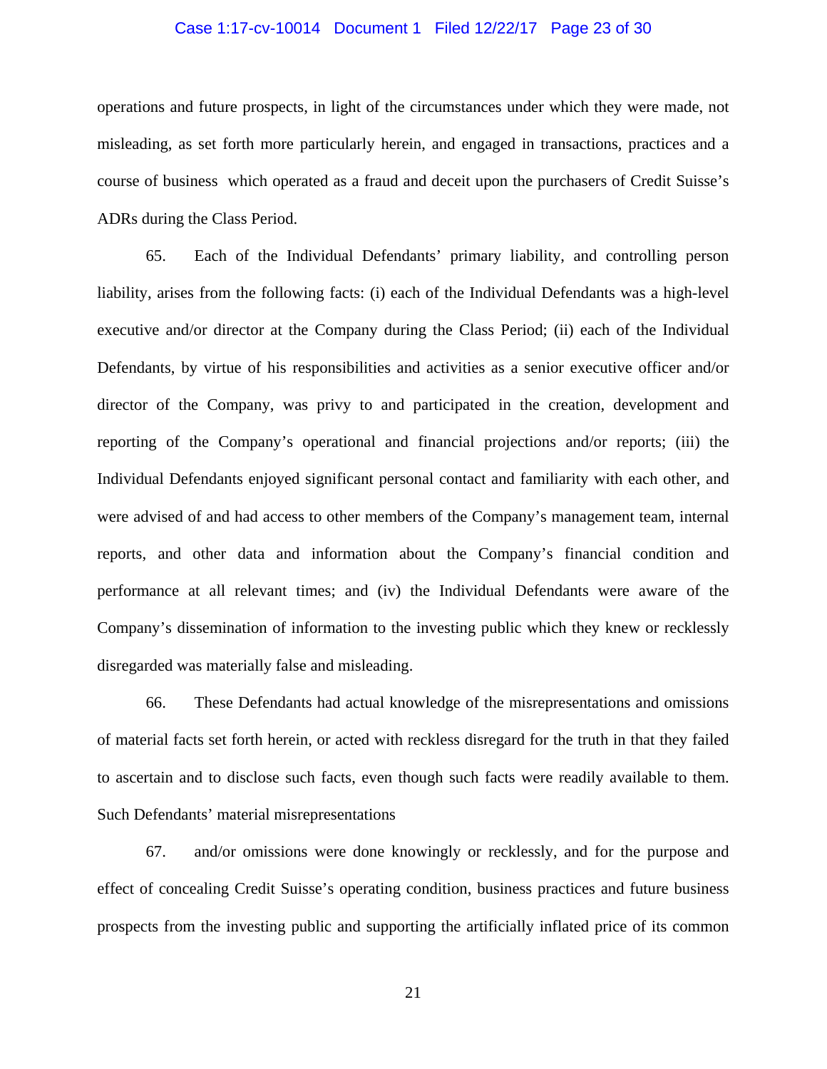#### Case 1:17-cv-10014 Document 1 Filed 12/22/17 Page 23 of 30

operations and future prospects, in light of the circumstances under which they were made, not misleading, as set forth more particularly herein, and engaged in transactions, practices and a course of business which operated as a fraud and deceit upon the purchasers of Credit Suisse's ADRs during the Class Period.

65. Each of the Individual Defendants' primary liability, and controlling person liability, arises from the following facts: (i) each of the Individual Defendants was a high-level executive and/or director at the Company during the Class Period; (ii) each of the Individual Defendants, by virtue of his responsibilities and activities as a senior executive officer and/or director of the Company, was privy to and participated in the creation, development and reporting of the Company's operational and financial projections and/or reports; (iii) the Individual Defendants enjoyed significant personal contact and familiarity with each other, and were advised of and had access to other members of the Company's management team, internal reports, and other data and information about the Company's financial condition and performance at all relevant times; and (iv) the Individual Defendants were aware of the Company's dissemination of information to the investing public which they knew or recklessly disregarded was materially false and misleading.

66. These Defendants had actual knowledge of the misrepresentations and omissions of material facts set forth herein, or acted with reckless disregard for the truth in that they failed to ascertain and to disclose such facts, even though such facts were readily available to them. Such Defendants' material misrepresentations

67. and/or omissions were done knowingly or recklessly, and for the purpose and effect of concealing Credit Suisse's operating condition, business practices and future business prospects from the investing public and supporting the artificially inflated price of its common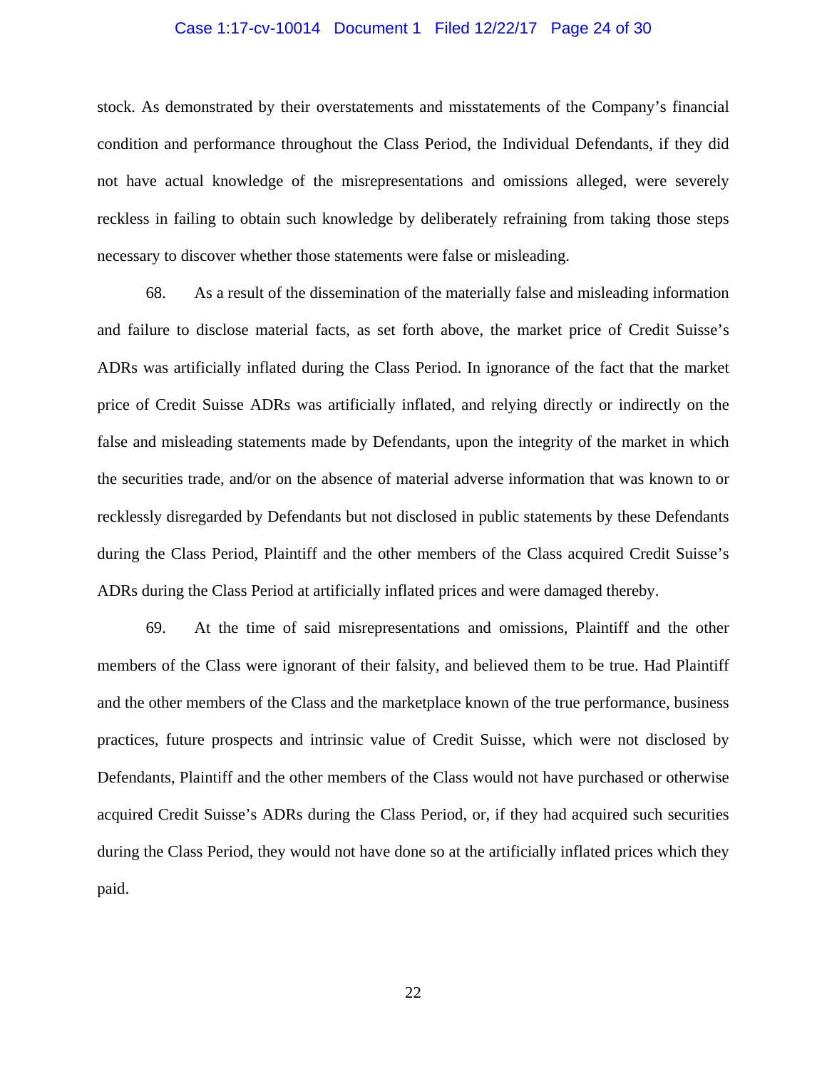#### Case 1:17-cv-10014 Document 1 Filed 12/22/17 Page 24 of 30

stock. As demonstrated by their overstatements and misstatements of the Company's financial condition and performance throughout the Class Period, the Individual Defendants, if they did not have actual knowledge of the misrepresentations and omissions alleged, were severely reckless in failing to obtain such knowledge by deliberately refraining from taking those steps necessary to discover whether those statements were false or misleading.

68. As a result of the dissemination of the materially false and misleading information and failure to disclose material facts, as set forth above, the market price of Credit Suisse's ADRs was artificially inflated during the Class Period. In ignorance of the fact that the market price of Credit Suisse ADRs was artificially inflated, and relying directly or indirectly on the false and misleading statements made by Defendants, upon the integrity of the market in which the securities trade, and/or on the absence of material adverse information that was known to or recklessly disregarded by Defendants but not disclosed in public statements by these Defendants during the Class Period, Plaintiff and the other members of the Class acquired Credit Suisse's ADRs during the Class Period at artificially inflated prices and were damaged thereby.

69. At the time of said misrepresentations and omissions, Plaintiff and the other members of the Class were ignorant of their falsity, and believed them to be true. Had Plaintiff and the other members of the Class and the marketplace known of the true performance, business practices, future prospects and intrinsic value of Credit Suisse, which were not disclosed by Defendants, Plaintiff and the other members of the Class would not have purchased or otherwise acquired Credit Suisse's ADRs during the Class Period, or, if they had acquired such securities during the Class Period, they would not have done so at the artificially inflated prices which they paid.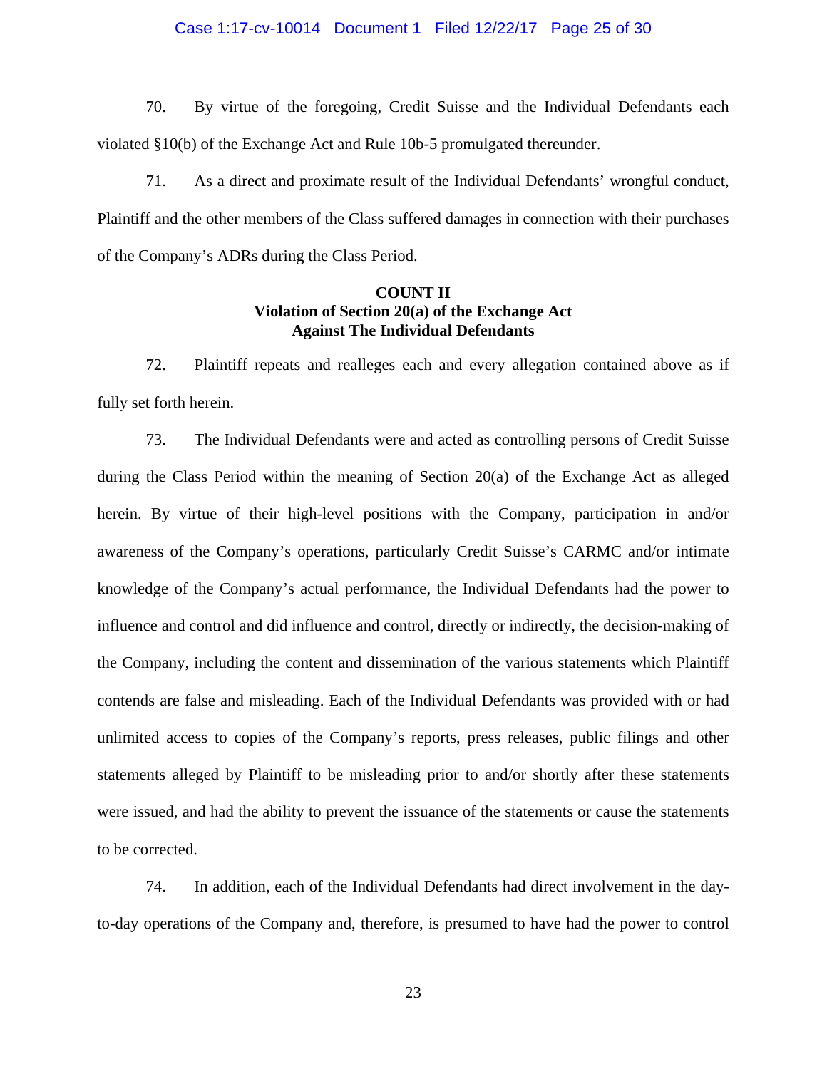#### Case 1:17-cv-10014 Document 1 Filed 12/22/17 Page 25 of 30

70. By virtue of the foregoing, Credit Suisse and the Individual Defendants each violated §10(b) of the Exchange Act and Rule 10b-5 promulgated thereunder.

71. As a direct and proximate result of the Individual Defendants' wrongful conduct, Plaintiff and the other members of the Class suffered damages in connection with their purchases of the Company's ADRs during the Class Period.

# **COUNT II Violation of Section 20(a) of the Exchange Act Against The Individual Defendants**

72. Plaintiff repeats and realleges each and every allegation contained above as if fully set forth herein.

73. The Individual Defendants were and acted as controlling persons of Credit Suisse during the Class Period within the meaning of Section 20(a) of the Exchange Act as alleged herein. By virtue of their high-level positions with the Company, participation in and/or awareness of the Company's operations, particularly Credit Suisse's CARMC and/or intimate knowledge of the Company's actual performance, the Individual Defendants had the power to influence and control and did influence and control, directly or indirectly, the decision-making of the Company, including the content and dissemination of the various statements which Plaintiff contends are false and misleading. Each of the Individual Defendants was provided with or had unlimited access to copies of the Company's reports, press releases, public filings and other statements alleged by Plaintiff to be misleading prior to and/or shortly after these statements were issued, and had the ability to prevent the issuance of the statements or cause the statements to be corrected.

74. In addition, each of the Individual Defendants had direct involvement in the dayto-day operations of the Company and, therefore, is presumed to have had the power to control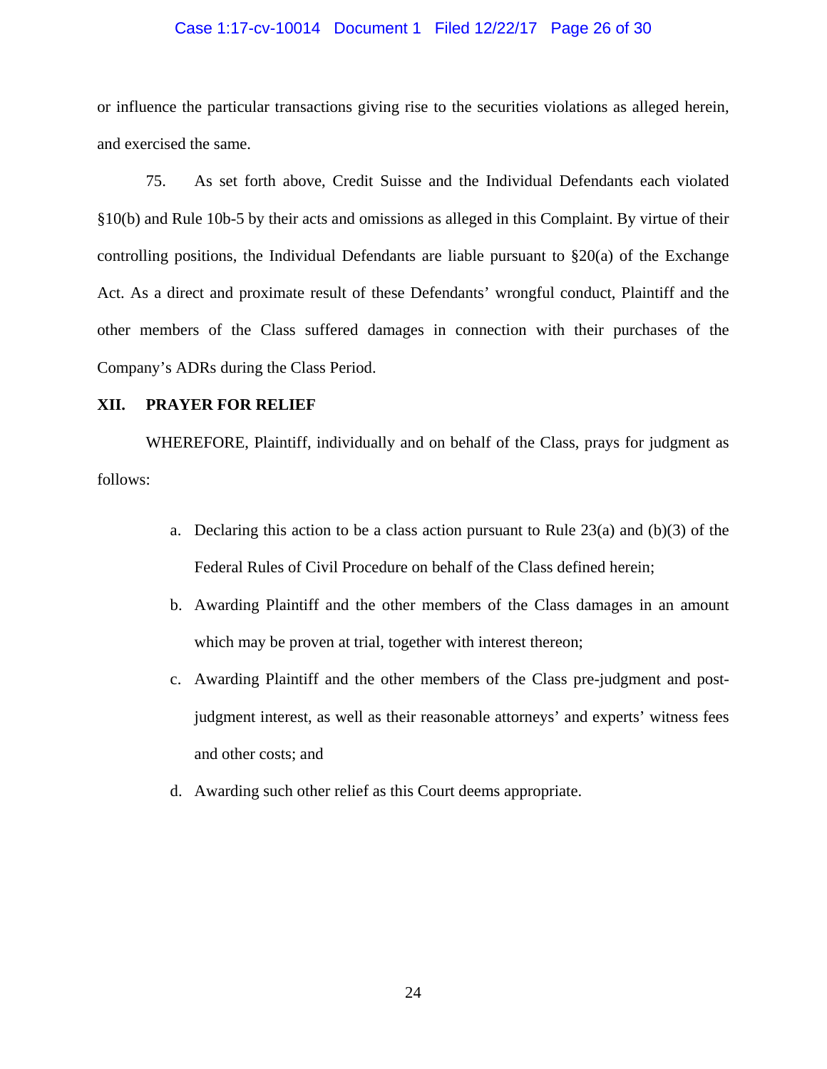#### Case 1:17-cv-10014 Document 1 Filed 12/22/17 Page 26 of 30

or influence the particular transactions giving rise to the securities violations as alleged herein, and exercised the same.

75. As set forth above, Credit Suisse and the Individual Defendants each violated §10(b) and Rule 10b-5 by their acts and omissions as alleged in this Complaint. By virtue of their controlling positions, the Individual Defendants are liable pursuant to  $\S20(a)$  of the Exchange Act. As a direct and proximate result of these Defendants' wrongful conduct, Plaintiff and the other members of the Class suffered damages in connection with their purchases of the Company's ADRs during the Class Period.

## **XII. PRAYER FOR RELIEF**

WHEREFORE, Plaintiff, individually and on behalf of the Class, prays for judgment as follows:

- a. Declaring this action to be a class action pursuant to Rule  $23(a)$  and (b)(3) of the Federal Rules of Civil Procedure on behalf of the Class defined herein;
- b. Awarding Plaintiff and the other members of the Class damages in an amount which may be proven at trial, together with interest thereon;
- c. Awarding Plaintiff and the other members of the Class pre-judgment and postjudgment interest, as well as their reasonable attorneys' and experts' witness fees and other costs; and
- d. Awarding such other relief as this Court deems appropriate.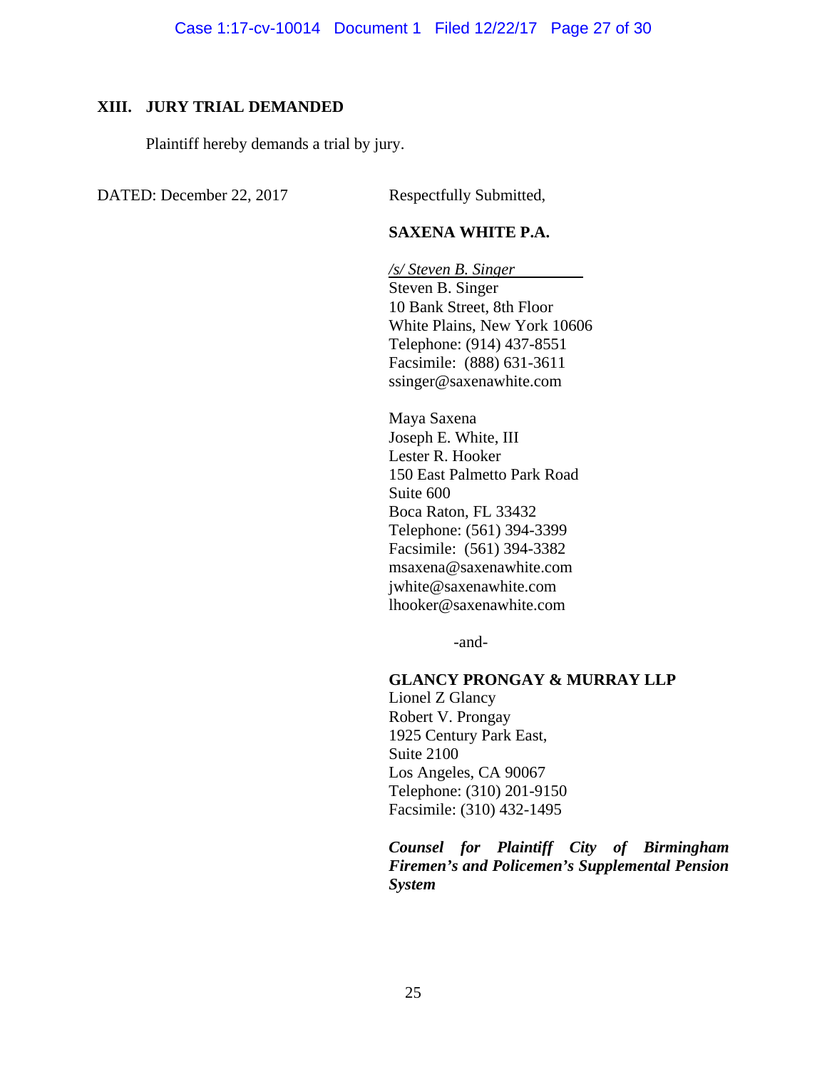# **XIII. JURY TRIAL DEMANDED**

Plaintiff hereby demands a trial by jury.

DATED: December 22, 2017 Respectfully Submitted,

# **SAXENA WHITE P.A.**

*/s/ Steven B. Singer*  Steven B. Singer 10 Bank Street, 8th Floor White Plains, New York 10606 Telephone: (914) 437-8551 Facsimile: (888) 631-3611 ssinger@saxenawhite.com

Maya Saxena Joseph E. White, III Lester R. Hooker 150 East Palmetto Park Road Suite 600 Boca Raton, FL 33432 Telephone: (561) 394-3399 Facsimile: (561) 394-3382 msaxena@saxenawhite.com jwhite@saxenawhite.com lhooker@saxenawhite.com

-and-

#### **GLANCY PRONGAY & MURRAY LLP**

Lionel Z Glancy Robert V. Prongay 1925 Century Park East, Suite 2100 Los Angeles, CA 90067 Telephone: (310) 201-9150 Facsimile: (310) 432-1495

*Counsel for Plaintiff City of Birmingham Firemen's and Policemen's Supplemental Pension System*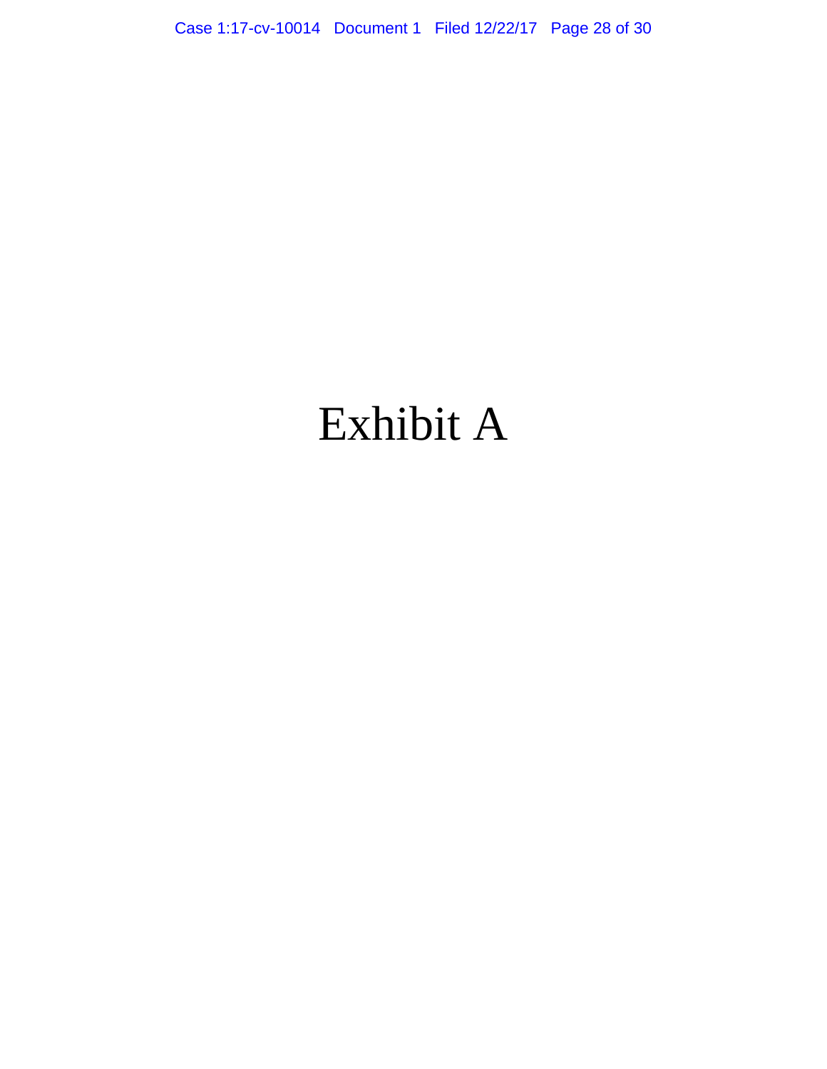Case 1:17-cv-10014 Document 1 Filed 12/22/17 Page 28 of 30

# Exhibit A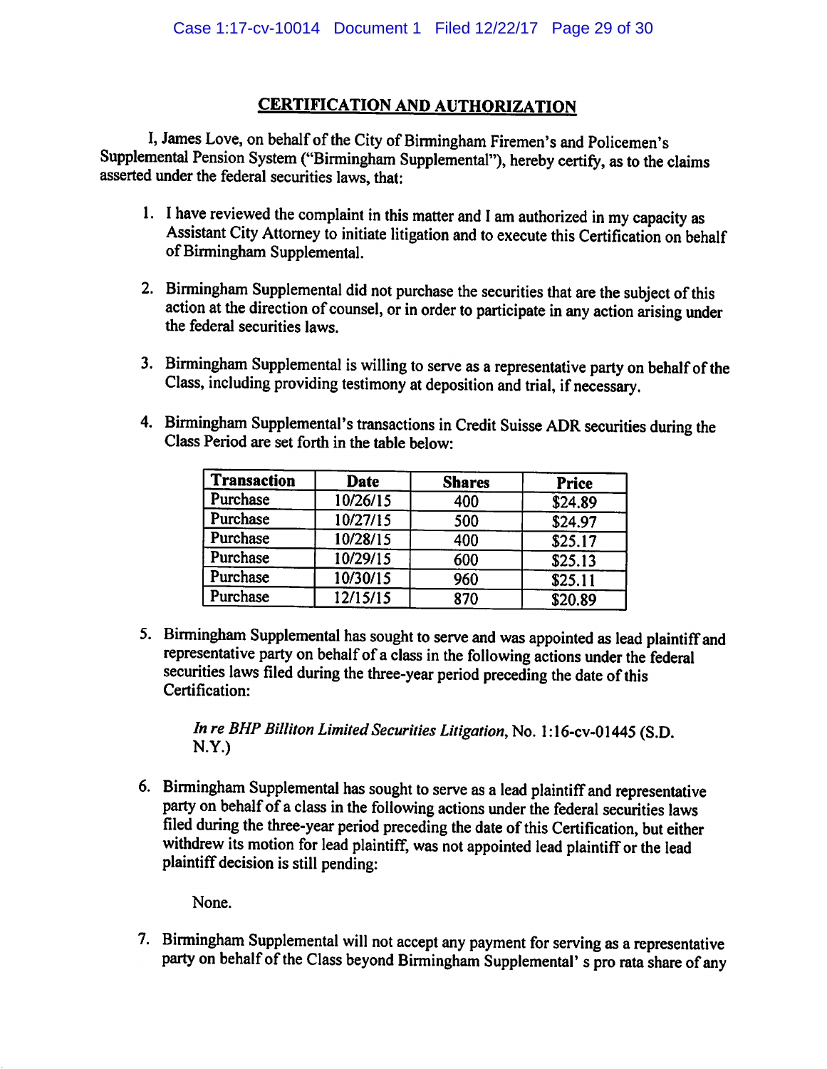# *CERTIFICATION AND AUTHORIZATION*

I, James Love, on behalf of the City of Birmingham Firemen's and Policemen's Supplemental Pension System ("Birmingham Supplemental"), hereby certify, as to the claims asserted under the federal securities laws, that:

- 1. I have reviewed the complaint in this matter and Iam authorized in my capacity as Assistant City Attorney to initiate litigation and to execute this Certification on behalf of Birmingham Supplemental.
- 2. Birmingham Supplemental did not purchase the securities that are the subject of this action at the direction of counsel, or in order to participate in any action arising under the federal securities laws.
- 3. Birmingham Supplemental is willing to serve as a representative party on behalf of the Class, including providing testimony at deposition and trial, if necessary.
- 4. Birmingham Supplemental's transactions in Credit Suisse ADR securities during the Class Period are set forth in the table below:

| <b>Transaction</b> | <b>Date</b> | <b>Shares</b> | <b>Price</b> |
|--------------------|-------------|---------------|--------------|
| Purchase           | 10/26/15    | 400           | \$24.89      |
| Purchase           | 10/27/15    | 500           | \$24.97      |
| Purchase           | 10/28/15    | 400           | \$25.17      |
| Purchase           | 10/29/15    | 600           | \$25.13      |
| Purchase           | 10/30/15    | 960           | \$25.11      |
| Purchase           | 12/15/15    | 870           | \$20.89      |

5. Birmingham Supplemental has sought to serve and was appointed as lead plaintiffand representative party on behalf of a class in the following actions under the federal securities laws filed during the three-year period preceding the date of this Certification:

In re BHP Billiton Limited Securities Litigation, No. 1:16-cv-01445 (S.D. N.Y.)

6. Birmingham Supplemental has sought to serve as a lead plaintiffand representative party on behalf of a class in the following actions under the federal securities laws filed during the three-year period preceding the date ofthis Certification, but either withdrew its motion for lead plaintiff, was not appointed lead plaintiff or the lead plaintiff decision is still pending:

None.

7. Birmingham Supplemental will not accept any payment for serving as a representative party on behalf of the Class beyond Birmingham Supplemental' s pro rata share of any